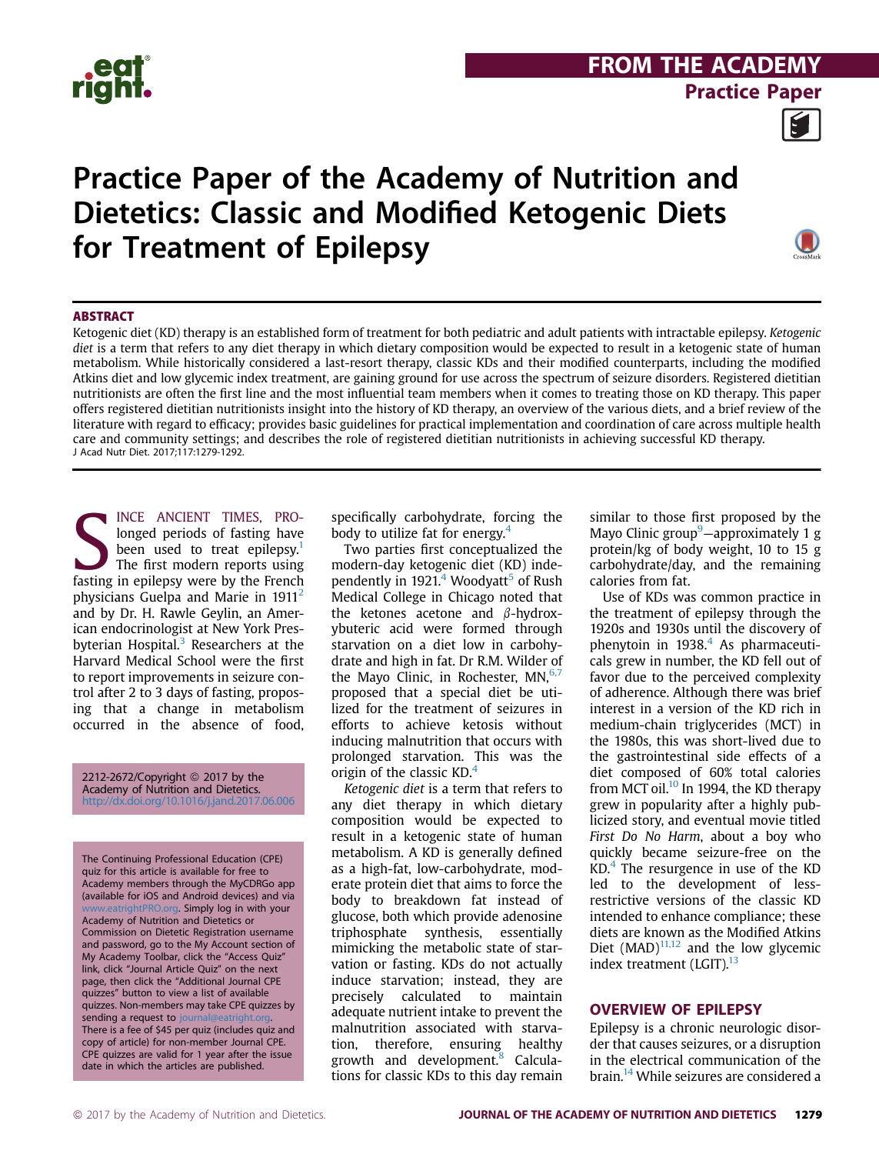

# **FROM THE ACADEMY**<br>Practice Paper

Practice Paper



### Practice Paper of the Academy of Nutrition and Dietetics: Classic and Modified Ketogenic Diets for Treatment of Epilepsy



#### ABSTRACT

Ketogenic diet (KD) therapy is an established form of treatment for both pediatric and adult patients with intractable epilepsy. Ketogenic diet is a term that refers to any diet therapy in which dietary composition would be expected to result in a ketogenic state of human metabolism. While historically considered a last-resort therapy, classic KDs and their modified counterparts, including the modified Atkins diet and low glycemic index treatment, are gaining ground for use across the spectrum of seizure disorders. Registered dietitian nutritionists are often the first line and the most influential team members when it comes to treating those on KD therapy. This paper offers registered dietitian nutritionists insight into the history of KD therapy, an overview of the various diets, and a brief review of the literature with regard to efficacy; provides basic guidelines for practical implementation and coordination of care across multiple health care and community settings; and describes the role of registered dietitian nutritionists in achieving successful KD therapy. J Acad Nutr Diet. 2017;117:1279-1292.

INCE ANCIENT TIMES, PRO-<br>longed periods of fasting have<br>been used to treat epilepsy.<sup>1</sup><br>The first modern reports using<br>fasting in epilepsy were by the French INCE ANCIENT TIMES, PROlonged periods of fasting have been used to treat epilepsy. $<sup>1</sup>$ </sup> The first modern reports using physicians Guelpa and Marie in  $1911<sup>2</sup>$  $1911<sup>2</sup>$  $1911<sup>2</sup>$ and by Dr. H. Rawle Geylin, an American endocrinologist at New York Pres-byterian Hospital.<sup>[3](#page-11-0)</sup> Researchers at the Harvard Medical School were the first to report improvements in seizure control after 2 to 3 days of fasting, proposing that a change in metabolism occurred in the absence of food,

2212-2672/Copyright © 2017 by the Academy of Nutrition and Dietetics. <http://dx.doi.org/10.1016/j.jand.2017.06.006>

The Continuing Professional Education (CPE) quiz for this article is available for free to Academy members through the MyCDRGo app (available for iOS and Android devices) and via w.eatrightPRO.org. Simply log in with your Academy of Nutrition and Dietetics or Commission on Dietetic Registration username and password, go to the My Account section of My Academy Toolbar, click the "Access Quiz" link, click "Journal Article Quiz" on the next page, then click the "Additional Journal CPE quizzes" button to view a list of available quizzes. Non-members may take CPE quizzes by sending a request to [journal@eatright.org](mailto:journal@eatright.org). There is a fee of \$45 per quiz (includes quiz and copy of article) for non-member Journal CPE. CPE quizzes are valid for 1 year after the issue date in which the articles are published.

specifically carbohydrate, forcing the body to utilize fat for energy. $4$ 

Two parties first conceptualized the modern-day ketogenic diet (KD) independently in  $1921<sup>4</sup>$  $1921<sup>4</sup>$  $1921<sup>4</sup>$  Woodyatt<sup>[5](#page-11-0)</sup> of Rush Medical College in Chicago noted that the ketones acetone and  $\beta$ -hydroxybuteric acid were formed through starvation on a diet low in carbohydrate and high in fat. Dr R.M. Wilder of the Mayo Clinic, in Rochester,  $MN$ <sup>[6,7](#page-12-0)</sup> proposed that a special diet be utilized for the treatment of seizures in efforts to achieve ketosis without inducing malnutrition that occurs with prolonged starvation. This was the origin of the classic  $KD<sup>4</sup>$ 

Ketogenic diet is a term that refers to any diet therapy in which dietary composition would be expected to result in a ketogenic state of human metabolism. A KD is generally defined as a high-fat, low-carbohydrate, moderate protein diet that aims to force the body to breakdown fat instead of glucose, both which provide adenosine triphosphate synthesis, essentially mimicking the metabolic state of starvation or fasting. KDs do not actually induce starvation; instead, they are precisely calculated to maintain adequate nutrient intake to prevent the malnutrition associated with starvation, therefore, ensuring healthy growth and development.<sup>[8](#page-12-0)</sup> Calculations for classic KDs to this day remain

similar to those first proposed by the Mayo Clinic group<sup>9</sup>-approximately 1 g protein/kg of body weight, 10 to 15 g carbohydrate/day, and the remaining calories from fat.

Use of KDs was common practice in the treatment of epilepsy through the 1920s and 1930s until the discovery of phenytoin in  $1938<sup>4</sup>$  $1938<sup>4</sup>$  $1938<sup>4</sup>$  As pharmaceuticals grew in number, the KD fell out of favor due to the perceived complexity of adherence. Although there was brief interest in a version of the KD rich in medium-chain triglycerides (MCT) in the 1980s, this was short-lived due to the gastrointestinal side effects of a diet composed of 60% total calories from MCT oil. $10$  In 1994, the KD therapy grew in popularity after a highly publicized story, and eventual movie titled First Do No Harm, about a boy who quickly became seizure-free on the  $KD<sup>4</sup>$  $KD<sup>4</sup>$  $KD<sup>4</sup>$ . The resurgence in use of the KD led to the development of lessrestrictive versions of the classic KD intended to enhance compliance; these diets are known as the Modified Atkins Diet  $(MAD)^{11,12}$  $(MAD)^{11,12}$  $(MAD)^{11,12}$  and the low glycemic index treatment (LGIT).<sup>[13](#page-12-0)</sup>

#### **OVERVIEW OF EPILEPSY**

OVERVIEW OF EPILEPSY Epilepsy is a chronic neurologic disorder that causes seizures, or a disruption in the electrical communication of the brain.[14](#page-12-0) While seizures are considered a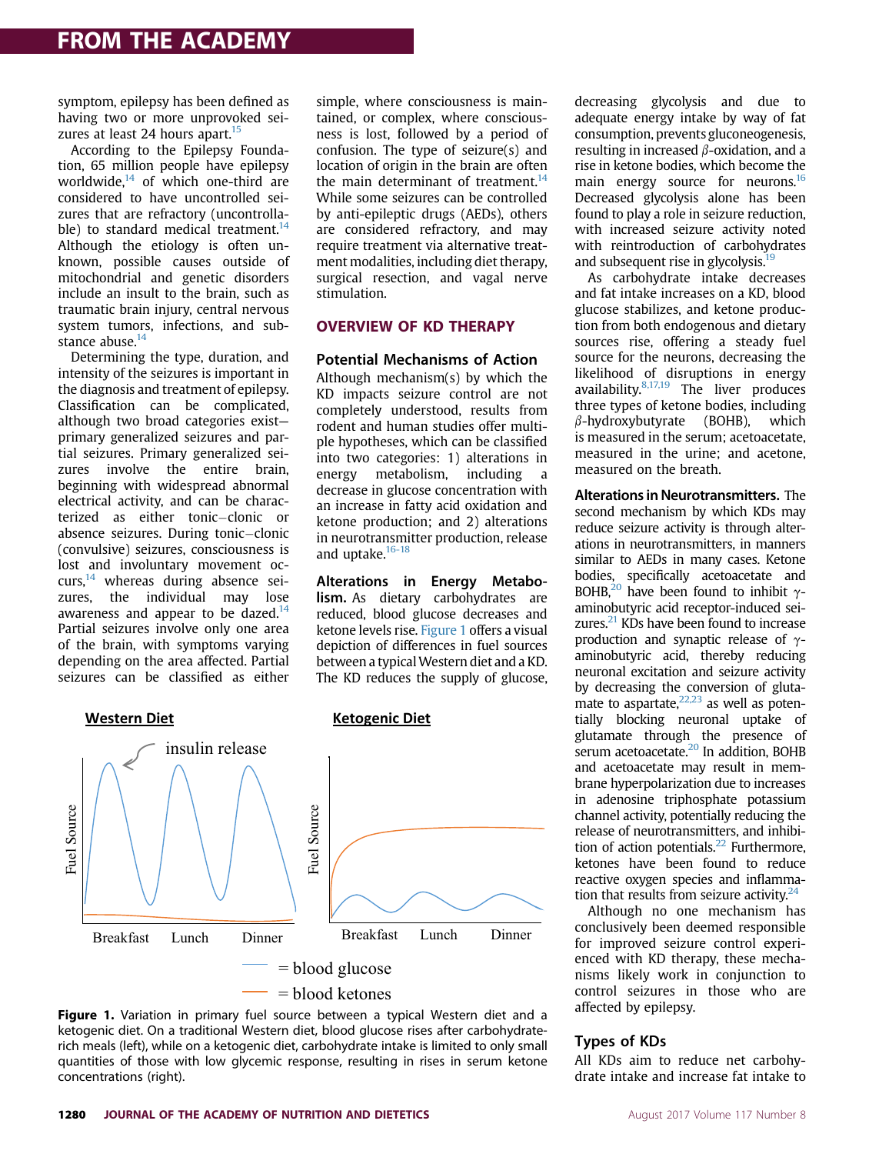symptom, epilepsy has been defined as having two or more unprovoked sei-zures at least 24 hours apart.<sup>[15](#page-12-0)</sup>

According to the Epilepsy Foundation, 65 million people have epilepsy worldwide, $14$  of which one-third are considered to have uncontrolled seizures that are refractory (uncontrollable) to standard medical treatment. $14$ Although the etiology is often unknown, possible causes outside of mitochondrial and genetic disorders include an insult to the brain, such as traumatic brain injury, central nervous system tumors, infections, and substance abuse. $14$ 

Determining the type, duration, and intensity of the seizures is important in the diagnosis and treatment of epilepsy. Classification can be complicated, although two broad categories exist primary generalized seizures and partial seizures. Primary generalized seizures involve the entire brain, beginning with widespread abnormal electrical activity, and can be characterized as either tonic-clonic or absence seizures. During tonic-clonic (convulsive) seizures, consciousness is lost and involuntary movement occurs, $14$  whereas during absence seizures, the individual may lose awareness and appear to be dazed.<sup>[14](#page-12-0)</sup> Partial seizures involve only one area of the brain, with symptoms varying depending on the area affected. Partial seizures can be classified as either

simple, where consciousness is maintained, or complex, where consciousness is lost, followed by a period of confusion. The type of seizure(s) and location of origin in the brain are often the main determinant of treatment. $^{14}$ While some seizures can be controlled by anti-epileptic drugs (AEDs), others are considered refractory, and may require treatment via alternative treatment modalities, including diet therapy, surgical resection, and vagal nerve stimulation.

#### **OVERVIEW OF KD THERAPY**

#### Potential Mechanisms of Action

Although mechanism(s) by which the KD impacts seizure control are not completely understood, results from rodent and human studies offer multiple hypotheses, which can be classified into two categories: 1) alterations in energy metabolism, including a decrease in glucose concentration with an increase in fatty acid oxidation and ketone production; and 2) alterations in neurotransmitter production, release and uptake.<sup>16-18</sup>

Alterations in Energy Metabolism. As dietary carbohydrates are reduced, blood glucose decreases and ketone levels rise. Figure 1 offers a visual depiction of differences in fuel sources between a typicalWestern diet and a KD. The KD reduces the supply of glucose,



Figure 1. Variation in primary fuel source between a typical Western diet and a ketogenic diet. On a traditional Western diet, blood glucose rises after carbohydraterich meals (left), while on a ketogenic diet, carbohydrate intake is limited to only small quantities of those with low glycemic response, resulting in rises in serum ketone concentrations (right).

decreasing glycolysis and due to adequate energy intake by way of fat consumption, prevents gluconeogenesis, resulting in increased  $\beta$ -oxidation, and a rise in ketone bodies, which become the main energy source for neurons.<sup>[16](#page-12-0)</sup> Decreased glycolysis alone has been found to play a role in seizure reduction, with increased seizure activity noted with reintroduction of carbohydrates and subsequent rise in glycolysis.<sup>[19](#page-12-0)</sup>

As carbohydrate intake decreases and fat intake increases on a KD, blood glucose stabilizes, and ketone production from both endogenous and dietary sources rise, offering a steady fuel source for the neurons, decreasing the likelihood of disruptions in energy availability. $8,17,19$  The liver produces three types of ketone bodies, including  $\beta$ -hydroxybutyrate (BOHB), which is measured in the serum; acetoacetate, measured in the urine; and acetone, measured on the breath.

Alterations in Neurotransmitters. The second mechanism by which KDs may reduce seizure activity is through alterations in neurotransmitters, in manners similar to AEDs in many cases. Ketone bodies, specifically acetoacetate and BOHB,<sup>20</sup> have been found to inhibit  $\gamma$ aminobutyric acid receptor-induced seizures.<sup>21</sup> KDs have been found to increase production and synaptic release of  $\gamma$ aminobutyric acid, thereby reducing neuronal excitation and seizure activity by decreasing the conversion of glutamate to aspartate, $22,23$  as well as potentially blocking neuronal uptake of glutamate through the presence of serum acetoacetate.<sup>20</sup> In addition, BOHB and acetoacetate may result in membrane hyperpolarization due to increases in adenosine triphosphate potassium channel activity, potentially reducing the release of neurotransmitters, and inhibition of action potentials. $^{22}$  Furthermore, ketones have been found to reduce reactive oxygen species and inflammation that results from seizure activity. $24$ 

Although no one mechanism has conclusively been deemed responsible for improved seizure control experienced with KD therapy, these mechanisms likely work in conjunction to control seizures in those who are affected by epilepsy.

#### Types of KDs

All KDs aim to reduce net carbohydrate intake and increase fat intake to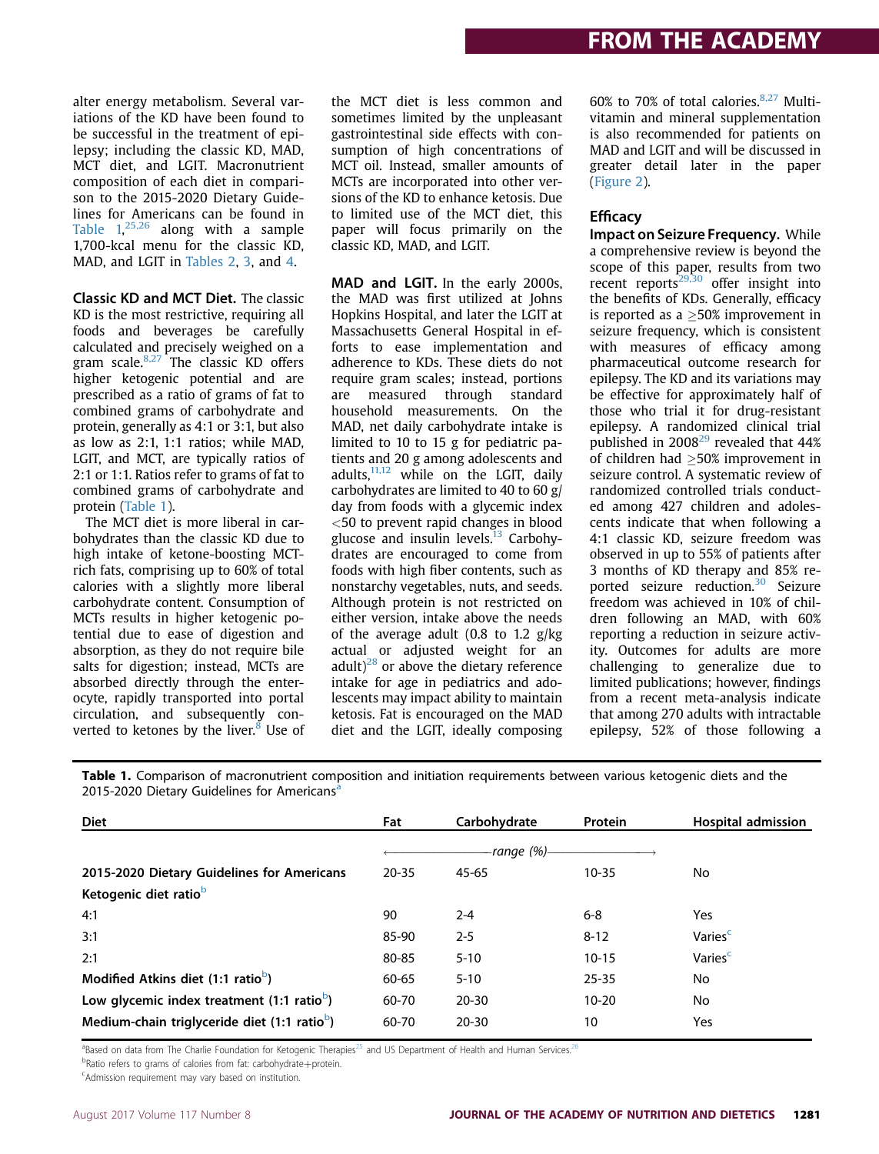alter energy metabolism. Several variations of the KD have been found to be successful in the treatment of epilepsy; including the classic KD, MAD, MCT diet, and LGIT. Macronutrient composition of each diet in comparison to the 2015-2020 Dietary Guidelines for Americans can be found in Table  $1,^{25,26}$  $1,^{25,26}$  $1,^{25,26}$  along with a sample 1,700-kcal menu for the classic KD, MAD, and LGIT in [Tables 2](#page-3-0), [3,](#page-4-0) and [4.](#page-5-0)

Classic KD and MCT Diet. The classic KD is the most restrictive, requiring all foods and beverages be carefully calculated and precisely weighed on a gram scale.<sup>[8,27](#page-12-0)</sup> The classic KD offers higher ketogenic potential and are prescribed as a ratio of grams of fat to combined grams of carbohydrate and protein, generally as 4:1 or 3:1, but also as low as 2:1, 1:1 ratios; while MAD, LGIT, and MCT, are typically ratios of 2:1 or 1:1. Ratios refer to grams of fat to combined grams of carbohydrate and protein (Table 1).

The MCT diet is more liberal in carbohydrates than the classic KD due to high intake of ketone-boosting MCTrich fats, comprising up to 60% of total calories with a slightly more liberal carbohydrate content. Consumption of MCTs results in higher ketogenic potential due to ease of digestion and absorption, as they do not require bile salts for digestion; instead, MCTs are absorbed directly through the enterocyte, rapidly transported into portal circulation, and subsequently converted to ketones by the liver. $8$  Use of the MCT diet is less common and sometimes limited by the unpleasant gastrointestinal side effects with consumption of high concentrations of MCT oil. Instead, smaller amounts of MCTs are incorporated into other versions of the KD to enhance ketosis. Due to limited use of the MCT diet, this paper will focus primarily on the classic KD, MAD, and LGIT.

MAD and LGIT. In the early 2000s, the MAD was first utilized at Johns Hopkins Hospital, and later the LGIT at Massachusetts General Hospital in efforts to ease implementation and adherence to KDs. These diets do not require gram scales; instead, portions are measured through standard household measurements. On the MAD, net daily carbohydrate intake is limited to 10 to 15 g for pediatric patients and 20 g among adolescents and adults, $11,12$  while on the LGIT, daily carbohydrates are limited to 40 to 60 g/ day from foods with a glycemic index <50 to prevent rapid changes in blood glucose and insulin levels. $13$  Carbohydrates are encouraged to come from foods with high fiber contents, such as nonstarchy vegetables, nuts, and seeds. Although protein is not restricted on either version, intake above the needs of the average adult  $(0.8 \text{ to } 1.2 \text{ g/kg})$ actual or adjusted weight for an adult)<sup>[28](#page-12-0)</sup> or above the dietary reference intake for age in pediatrics and adolescents may impact ability to maintain ketosis. Fat is encouraged on the MAD diet and the LGIT, ideally composing 60% to 70% of total calories. $8,27$  Multivitamin and mineral supplementation is also recommended for patients on MAD and LGIT and will be discussed in greater detail later in the paper ([Figure 2](#page-6-0)).

#### **Efficacy**

Impact on Seizure Frequency. While a comprehensive review is beyond the scope of this paper, results from two recent reports $29,30$  offer insight into the benefits of KDs. Generally, efficacy is reported as a  $>50\%$  improvement in seizure frequency, which is consistent with measures of efficacy among pharmaceutical outcome research for epilepsy. The KD and its variations may be effective for approximately half of those who trial it for drug-resistant epilepsy. A randomized clinical trial published in  $2008^{29}$  $2008^{29}$  $2008^{29}$  revealed that 44% of children had  $\geq$ 50% improvement in seizure control. A systematic review of randomized controlled trials conducted among 427 children and adolescents indicate that when following a 4:1 classic KD, seizure freedom was observed in up to 55% of patients after 3 months of KD therapy and 85% re-ported seizure reduction.<sup>[30](#page-12-0)</sup> Seizure freedom was achieved in 10% of children following an MAD, with 60% reporting a reduction in seizure activity. Outcomes for adults are more challenging to generalize due to limited publications; however, findings from a recent meta-analysis indicate that among 270 adults with intractable epilepsy, 52% of those following a

| <b>Diet</b>                                              | Fat        | Carbohydrate | Protein   | Hospital admission  |
|----------------------------------------------------------|------------|--------------|-----------|---------------------|
|                                                          | -range (%) |              |           |                     |
| 2015-2020 Dietary Guidelines for Americans               | $20 - 35$  | $45 - 65$    | $10 - 35$ | No.                 |
| Ketogenic diet ratio <sup>b</sup>                        |            |              |           |                     |
| 4:1                                                      | 90         | $2 - 4$      | $6 - 8$   | Yes                 |
| 3:1                                                      | 85-90      | $2 - 5$      | $8 - 12$  | Varies <sup>c</sup> |
| 2:1                                                      | 80-85      | $5 - 10$     | $10 - 15$ | Varies <sup>c</sup> |
| Modified Atkins diet $(1:1 \text{ ratio}^b)$             | 60-65      | $5 - 10$     | $25 - 35$ | No                  |
| Low glycemic index treatment $(1:1 \text{ ratio}^b)$     | 60-70      | $20 - 30$    | $10 - 20$ | No                  |
| Medium-chain triglyceride diet (1:1 ratio <sup>b</sup> ) | 60-70      | $20 - 30$    | 10        | Yes                 |

<sup>a</sup>Based on data from The Charlie Foundation for Ketogenic Therapies<sup>[25](#page-12-0)</sup> and US Department of Health and Human Services.<sup>[26](#page-12-0)</sup>

b<br>Patio refers to grams of calories from fat: carbohydrate+protein.<br>SAdmission requirement may vany based on institution.

Admission requirement may vary based on institution.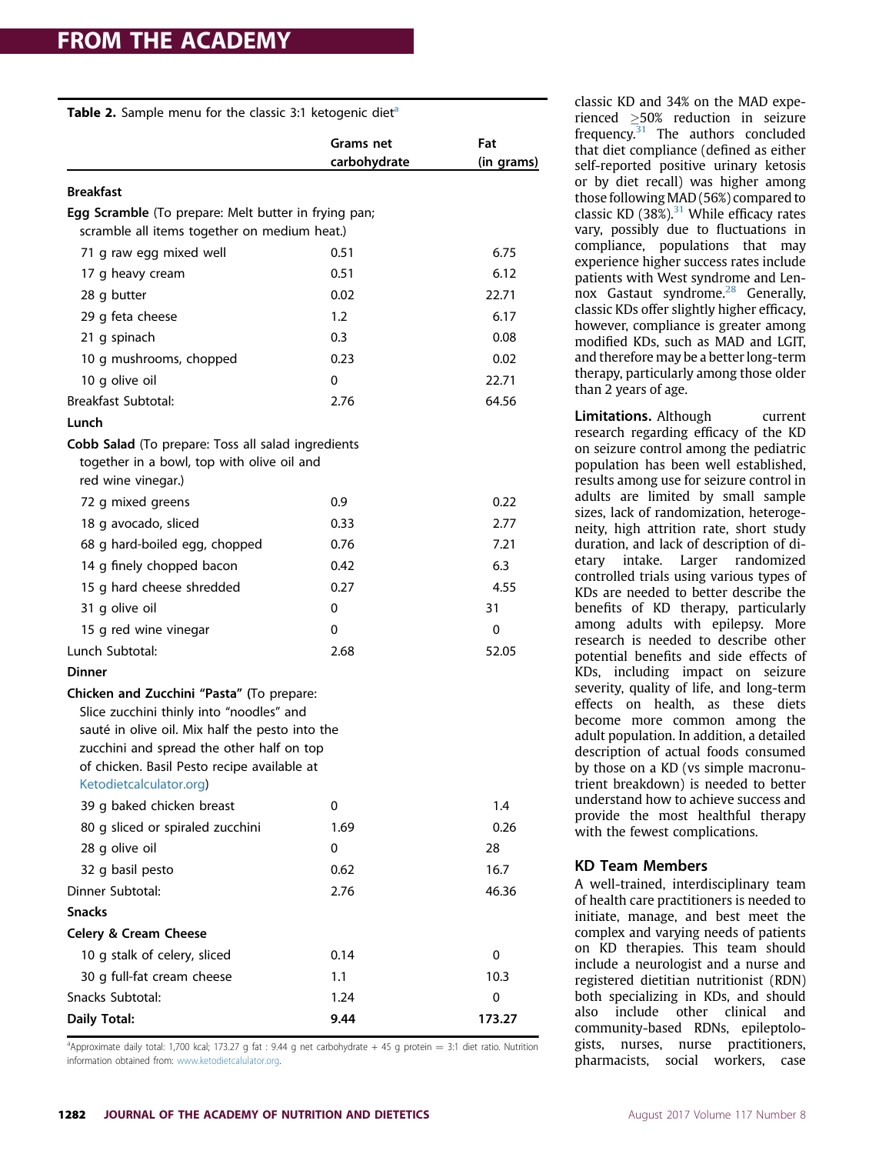<span id="page-3-0"></span>

| <b>Table 2.</b> Sample menu for the classic 3:1 ketogenic diet <sup>a</sup>                                                                                                                                                                                     |                           |                   |  |  |
|-----------------------------------------------------------------------------------------------------------------------------------------------------------------------------------------------------------------------------------------------------------------|---------------------------|-------------------|--|--|
|                                                                                                                                                                                                                                                                 | Grams net<br>carbohydrate | Fat<br>(in grams) |  |  |
| <b>Breakfast</b>                                                                                                                                                                                                                                                |                           |                   |  |  |
| Egg Scramble (To prepare: Melt butter in frying pan;                                                                                                                                                                                                            |                           |                   |  |  |
| scramble all items together on medium heat.)                                                                                                                                                                                                                    |                           |                   |  |  |
| 71 g raw egg mixed well                                                                                                                                                                                                                                         | 0.51                      | 6.75              |  |  |
| 17 g heavy cream                                                                                                                                                                                                                                                | 0.51                      | 6.12              |  |  |
| 28 g butter                                                                                                                                                                                                                                                     | 0.02                      | 22.71             |  |  |
| 29 g feta cheese                                                                                                                                                                                                                                                | 1.2                       | 6.17              |  |  |
| 21 g spinach                                                                                                                                                                                                                                                    | 0.3                       | 0.08              |  |  |
| 10 g mushrooms, chopped                                                                                                                                                                                                                                         | 0.23                      | 0.02              |  |  |
| 10 g olive oil                                                                                                                                                                                                                                                  | 0                         | 22.71             |  |  |
| <b>Breakfast Subtotal:</b>                                                                                                                                                                                                                                      | 2.76                      | 64.56             |  |  |
| Lunch                                                                                                                                                                                                                                                           |                           |                   |  |  |
| Cobb Salad (To prepare: Toss all salad ingredients<br>together in a bowl, top with olive oil and<br>red wine vinegar.)                                                                                                                                          |                           |                   |  |  |
| 72 g mixed greens                                                                                                                                                                                                                                               | 0.9                       | 0.22              |  |  |
| 18 g avocado, sliced                                                                                                                                                                                                                                            | 0.33                      | 2.77              |  |  |
| 68 g hard-boiled egg, chopped                                                                                                                                                                                                                                   | 0.76                      | 7.21              |  |  |
| 14 g finely chopped bacon                                                                                                                                                                                                                                       | 0.42                      | 6.3               |  |  |
| 15 g hard cheese shredded                                                                                                                                                                                                                                       | 0.27                      | 4.55              |  |  |
| 31 g olive oil                                                                                                                                                                                                                                                  | 0                         | 31                |  |  |
| 15 g red wine vinegar                                                                                                                                                                                                                                           | 0                         | 0                 |  |  |
| Lunch Subtotal:                                                                                                                                                                                                                                                 | 2.68                      | 52.05             |  |  |
| <b>Dinner</b>                                                                                                                                                                                                                                                   |                           |                   |  |  |
| Chicken and Zucchini "Pasta" (To prepare:<br>Slice zucchini thinly into "noodles" and<br>sauté in olive oil. Mix half the pesto into the<br>zucchini and spread the other half on top<br>of chicken. Basil Pesto recipe available at<br>Ketodietcalculator.org) |                           |                   |  |  |
| 39 g baked chicken breast                                                                                                                                                                                                                                       | 0                         | 1.4               |  |  |
| 80 g sliced or spiraled zucchini                                                                                                                                                                                                                                | 1.69                      | 0.26              |  |  |
| 28 g olive oil                                                                                                                                                                                                                                                  | 0                         | 28                |  |  |
| 32 g basil pesto                                                                                                                                                                                                                                                | 0.62                      | 16.7              |  |  |
| Dinner Subtotal:                                                                                                                                                                                                                                                | 2.76                      | 46.36             |  |  |
| <b>Snacks</b>                                                                                                                                                                                                                                                   |                           |                   |  |  |
| Celery & Cream Cheese                                                                                                                                                                                                                                           |                           |                   |  |  |
| 10 g stalk of celery, sliced                                                                                                                                                                                                                                    | 0.14                      | 0                 |  |  |
| 30 g full-fat cream cheese                                                                                                                                                                                                                                      | 1.1                       | 10.3              |  |  |
| Snacks Subtotal:                                                                                                                                                                                                                                                | 1.24                      | 0                 |  |  |
| Daily Total:                                                                                                                                                                                                                                                    | 9.44                      | 173.27            |  |  |

<sup>a</sup>Approximate daily total: 1,700 kcal; 173.27 g fat : 9.44 g net carbohydrate + 45 g protein  $=$  3:1 diet ratio. Nutrition information obtained from: [www.ketodietcalulator.org](http://www.ketodietcalulator.org).

classic KD and 34% on the MAD experienced  $\geq$ 50% reduction in seizure frequency. $31$  The authors concluded that diet compliance (defined as either self-reported positive urinary ketosis or by diet recall) was higher among those followingMAD (56%) compared to classic KD  $(38\%)$ .<sup>[31](#page-12-0)</sup> While efficacy rates vary, possibly due to fluctuations in compliance, populations that may experience higher success rates include patients with West syndrome and Lennox Gastaut syndrome.<sup>28</sup> Generally, classic KDs offer slightly higher efficacy, however, compliance is greater among modified KDs, such as MAD and LGIT, and therefore may be a better long-term therapy, particularly among those older than 2 years of age.

Limitations. Although current research regarding efficacy of the KD on seizure control among the pediatric population has been well established, results among use for seizure control in adults are limited by small sample sizes, lack of randomization, heterogeneity, high attrition rate, short study duration, and lack of description of dietary intake. Larger randomized controlled trials using various types of KDs are needed to better describe the benefits of KD therapy, particularly among adults with epilepsy. More research is needed to describe other potential benefits and side effects of KDs, including impact on seizure severity, quality of life, and long-term effects on health, as these diets become more common among the adult population. In addition, a detailed description of actual foods consumed by those on a KD (vs simple macronutrient breakdown) is needed to better understand how to achieve success and provide the most healthful therapy with the fewest complications.

### KD Team Members

A well-trained, interdisciplinary team of health care practitioners is needed to initiate, manage, and best meet the complex and varying needs of patients on KD therapies. This team should include a neurologist and a nurse and registered dietitian nutritionist (RDN) both specializing in KDs, and should also include other clinical and community-based RDNs, epileptologists, nurses, nurse practitioners, pharmacists, social workers, case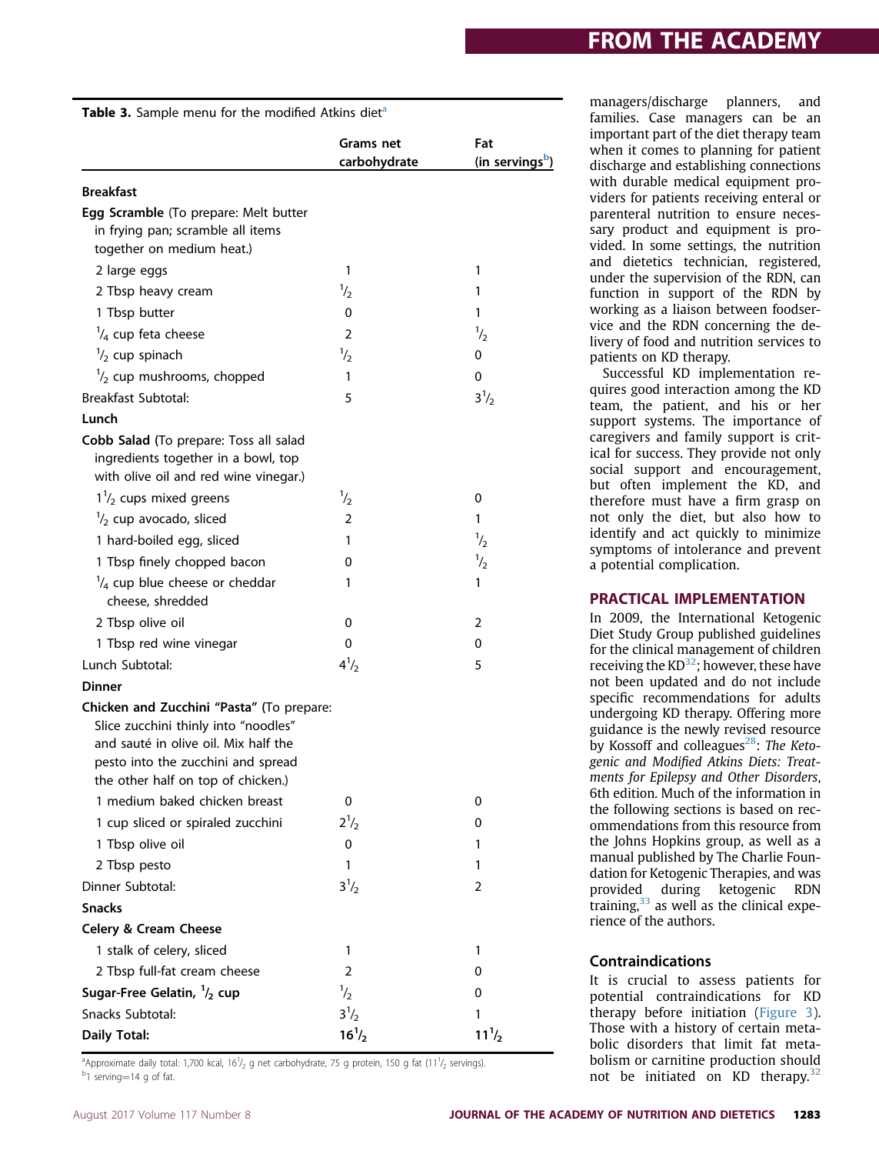<span id="page-4-0"></span>**Table 3.** Sample menu for the modified Atkins diet $^{\text{a}}$ 

|                                                                                                                                                                                                       | Grams net<br>carbohydrate | Fat<br>(in servings <sup>b</sup> ) |
|-------------------------------------------------------------------------------------------------------------------------------------------------------------------------------------------------------|---------------------------|------------------------------------|
| Breakfast                                                                                                                                                                                             |                           |                                    |
| Egg Scramble (To prepare: Melt butter<br>in frying pan; scramble all items<br>together on medium heat.)                                                                                               |                           |                                    |
| 2 large eggs                                                                                                                                                                                          | 1                         | 1                                  |
| 2 Tbsp heavy cream                                                                                                                                                                                    | $\frac{1}{2}$             | 1                                  |
| 1 Tbsp butter                                                                                                                                                                                         | 0                         | 1                                  |
| $\frac{1}{4}$ cup feta cheese                                                                                                                                                                         | 2                         | $\frac{1}{2}$                      |
| $\frac{1}{2}$ cup spinach                                                                                                                                                                             | $\frac{1}{2}$             | 0                                  |
| $\frac{1}{2}$ cup mushrooms, chopped                                                                                                                                                                  | 1                         | 0                                  |
| <b>Breakfast Subtotal:</b>                                                                                                                                                                            | 5                         | $3^{1/2}$                          |
| Lunch                                                                                                                                                                                                 |                           |                                    |
| Cobb Salad (To prepare: Toss all salad<br>ingredients together in a bowl, top<br>with olive oil and red wine vinegar.)                                                                                |                           |                                    |
| $1\frac{1}{2}$ cups mixed greens                                                                                                                                                                      | $\frac{1}{2}$             | 0                                  |
| $\frac{1}{2}$ cup avocado, sliced                                                                                                                                                                     | 2                         | 1                                  |
| 1 hard-boiled egg, sliced                                                                                                                                                                             | 1                         | $\frac{1}{2}$                      |
| 1 Tbsp finely chopped bacon                                                                                                                                                                           | 0                         | $\frac{1}{2}$                      |
| $\frac{1}{4}$ cup blue cheese or cheddar<br>cheese, shredded                                                                                                                                          | 1                         | 1                                  |
| 2 Tbsp olive oil                                                                                                                                                                                      | 0                         | 2                                  |
| 1 Tbsp red wine vinegar                                                                                                                                                                               | 0                         | 0                                  |
| Lunch Subtotal:                                                                                                                                                                                       | $4^{1/2}$                 | 5                                  |
| <b>Dinner</b>                                                                                                                                                                                         |                           |                                    |
| Chicken and Zucchini "Pasta" (To prepare:<br>Slice zucchini thinly into "noodles"<br>and sauté in olive oil. Mix half the<br>pesto into the zucchini and spread<br>the other half on top of chicken.) |                           |                                    |
| 1 medium baked chicken breast                                                                                                                                                                         | 0                         | 0                                  |
| 1 cup sliced or spiraled zucchini                                                                                                                                                                     | $2^{1/2}$                 | 0                                  |
| 1 Tbsp olive oil                                                                                                                                                                                      | 0                         | 1                                  |
| 2 Tbsp pesto                                                                                                                                                                                          | 1                         | 1                                  |
| Dinner Subtotal:                                                                                                                                                                                      | $3^{1/2}$                 | $\overline{2}$                     |
| Snacks                                                                                                                                                                                                |                           |                                    |
| Celery & Cream Cheese                                                                                                                                                                                 |                           |                                    |
| 1 stalk of celery, sliced                                                                                                                                                                             | 1                         | 1                                  |
| 2 Tbsp full-fat cream cheese                                                                                                                                                                          | 2                         | 0                                  |
| Sugar-Free Gelatin, $\frac{1}{2}$ cup                                                                                                                                                                 | $\frac{1}{2}$             | 0                                  |
| Snacks Subtotal:                                                                                                                                                                                      | $3^{1/2}$                 | 1                                  |
| Daily Total:                                                                                                                                                                                          | $16^{1/2}$                | $11^{1/2}$                         |

<sup>a</sup>Approximate daily total: 1,700 kcal, 16<sup>1</sup>/<sub>2</sub> g net carbohydrate, 75 g protein, 150 g fat (11<sup>1</sup>/<sub>2</sub> servings).<br><sup>b1</sup> serving=14 g of fat <sup>b</sup>1 serving=14 g of fat.

managers/discharge planners, and families. Case managers can be an important part of the diet therapy team when it comes to planning for patient discharge and establishing connections with durable medical equipment providers for patients receiving enteral or parenteral nutrition to ensure necessary product and equipment is provided. In some settings, the nutrition and dietetics technician, registered, under the supervision of the RDN, can function in support of the RDN by working as a liaison between foodservice and the RDN concerning the delivery of food and nutrition services to patients on KD therapy.

Successful KD implementation requires good interaction among the KD team, the patient, and his or her support systems. The importance of caregivers and family support is critical for success. They provide not only social support and encouragement, but often implement the KD, and therefore must have a firm grasp on not only the diet, but also how to identify and act quickly to minimize symptoms of intolerance and prevent a potential complication.

#### **PRACTICAL IMPLEMENTATION**

In 2009, the International Ketogenic Diet Study Group published guidelines for the clinical management of children receiving the  $KD^{32}$ ; however, these have not been updated and do not include specific recommendations for adults undergoing KD therapy. Offering more guidance is the newly revised resource by Kossoff and colleagues<sup>[28](#page-12-0)</sup>: The Ketogenic and Modified Atkins Diets: Treatments for Epilepsy and Other Disorders, 6th edition. Much of the information in the following sections is based on recommendations from this resource from the Johns Hopkins group, as well as a manual published by The Charlie Foundation for Ketogenic Therapies, and was provided during ketogenic RDN training,  $33$  as well as the clinical experience of the authors.

#### Contraindications

It is crucial to assess patients for potential contraindications for KD therapy before initiation ([Figure 3\)](#page-6-0). Those with a history of certain metabolic disorders that limit fat metabolism or carnitine production should not be initiated on KD therapy.<sup>[32](#page-12-0)</sup>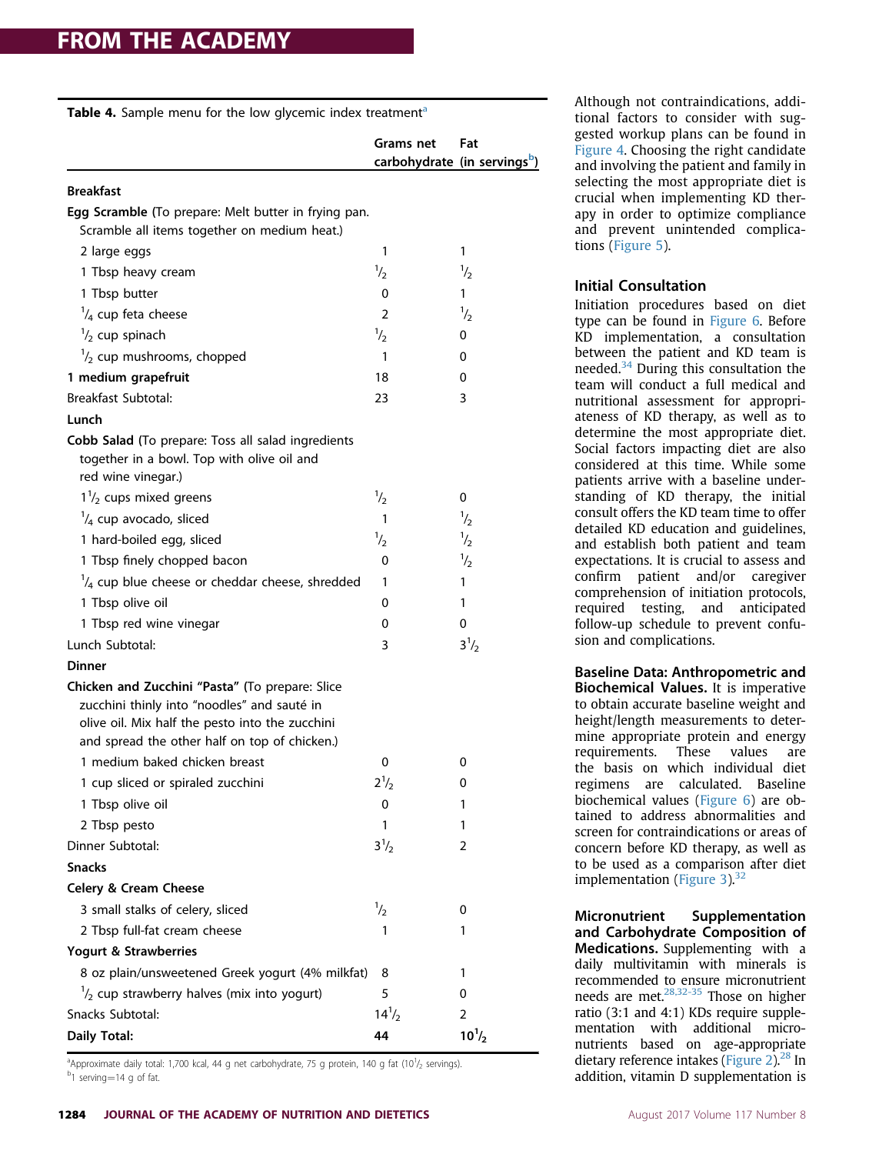<span id="page-5-0"></span>Table 4. Sample menu for the low glycemic index treatment<sup>a</sup>

|                                                                                                                                                                                                    | Grams net     | Fat<br>carbohydrate (in servingsb) |
|----------------------------------------------------------------------------------------------------------------------------------------------------------------------------------------------------|---------------|------------------------------------|
| <b>Breakfast</b>                                                                                                                                                                                   |               |                                    |
| Egg Scramble (To prepare: Melt butter in frying pan.<br>Scramble all items together on medium heat.)                                                                                               |               |                                    |
| 2 large eggs                                                                                                                                                                                       | 1             | 1                                  |
| 1 Tbsp heavy cream                                                                                                                                                                                 | $\frac{1}{2}$ | $\frac{1}{2}$                      |
| 1 Tbsp butter                                                                                                                                                                                      | 0             | 1                                  |
| $\frac{1}{4}$ cup feta cheese                                                                                                                                                                      | 2             | $\frac{1}{2}$                      |
| $\frac{1}{2}$ cup spinach                                                                                                                                                                          | $\frac{1}{2}$ | 0                                  |
| $\frac{1}{2}$ cup mushrooms, chopped                                                                                                                                                               | 1             | 0                                  |
| 1 medium grapefruit                                                                                                                                                                                | 18            | 0                                  |
| Breakfast Subtotal:                                                                                                                                                                                | 23            | 3                                  |
| Lunch                                                                                                                                                                                              |               |                                    |
| Cobb Salad (To prepare: Toss all salad ingredients<br>together in a bowl. Top with olive oil and<br>red wine vinegar.)                                                                             |               |                                    |
| $1\frac{1}{2}$ cups mixed greens                                                                                                                                                                   | $\frac{1}{2}$ | 0                                  |
| $\frac{1}{4}$ cup avocado, sliced                                                                                                                                                                  | 1             | $\frac{1}{2}$                      |
| 1 hard-boiled egg, sliced                                                                                                                                                                          | $\frac{1}{2}$ | $\frac{1}{2}$                      |
| 1 Tbsp finely chopped bacon                                                                                                                                                                        | 0             | $\frac{1}{2}$                      |
| $\frac{1}{4}$ cup blue cheese or cheddar cheese, shredded                                                                                                                                          | 1             | 1                                  |
| 1 Tbsp olive oil                                                                                                                                                                                   | 0             | 1                                  |
| 1 Tbsp red wine vinegar                                                                                                                                                                            | 0             | 0                                  |
| Lunch Subtotal:                                                                                                                                                                                    | 3             | $3^{1/2}$                          |
| <b>Dinner</b>                                                                                                                                                                                      |               |                                    |
| Chicken and Zucchini "Pasta" (To prepare: Slice<br>zucchini thinly into "noodles" and sauté in<br>olive oil. Mix half the pesto into the zucchini<br>and spread the other half on top of chicken.) |               |                                    |
| 1 medium baked chicken breast                                                                                                                                                                      | 0             | 0                                  |
| 1 cup sliced or spiraled zucchini                                                                                                                                                                  | $2^{1/2}$     | 0                                  |
| 1 Tbsp olive oil                                                                                                                                                                                   | 0             | 1                                  |
| 2 Tbsp pesto                                                                                                                                                                                       | 1             | 1                                  |
| Dinner Subtotal:                                                                                                                                                                                   | $3^{1/2}$     | 2                                  |
| <b>Snacks</b>                                                                                                                                                                                      |               |                                    |
| <b>Celery &amp; Cream Cheese</b>                                                                                                                                                                   |               |                                    |
| 3 small stalks of celery, sliced                                                                                                                                                                   | $\frac{1}{2}$ | 0                                  |
| 2 Tbsp full-fat cream cheese                                                                                                                                                                       | 1             | 1                                  |
| Yogurt & Strawberries                                                                                                                                                                              |               |                                    |
| 8 oz plain/unsweetened Greek yogurt (4% milkfat)                                                                                                                                                   | 8             | 1                                  |
| $\frac{1}{2}$ cup strawberry halves (mix into yogurt)                                                                                                                                              | 5             | 0                                  |
| Snacks Subtotal:                                                                                                                                                                                   | $14^{1/2}$    | 2                                  |
| <b>Daily Total:</b>                                                                                                                                                                                | 44            | $10^{1/2}$                         |

<sup>a</sup>Approximate daily total: 1,700 kcal, 44 g net carbohydrate, 75 g protein, 140 g fat (10<sup>1</sup>/<sub>2</sub> servings).<br><sup>b</sup>1 septing=14 g of fat  $b_1$  serving=14 g of fat.

Although not contraindications, additional factors to consider with suggested workup plans can be found in [Figure 4.](#page-7-0) Choosing the right candidate and involving the patient and family in selecting the most appropriate diet is crucial when implementing KD therapy in order to optimize compliance and prevent unintended complications [\(Figure 5\)](#page-8-0).

#### Initial Consultation

Initiation procedures based on diet type can be found in [Figure 6.](#page-9-0) Before KD implementation, a consultation between the patient and KD team is needed.<sup>[34](#page-12-0)</sup> During this consultation the team will conduct a full medical and nutritional assessment for appropriateness of KD therapy, as well as to determine the most appropriate diet. Social factors impacting diet are also considered at this time. While some patients arrive with a baseline understanding of KD therapy, the initial consult offers the KD team time to offer detailed KD education and guidelines, and establish both patient and team expectations. It is crucial to assess and confirm patient and/or caregiver comprehension of initiation protocols, required testing, and anticipated follow-up schedule to prevent confusion and complications.

Baseline Data: Anthropometric and Biochemical Values. It is imperative to obtain accurate baseline weight and height/length measurements to determine appropriate protein and energy requirements. These values are the basis on which individual diet regimens are calculated. Baseline biochemical values ([Figure 6\)](#page-9-0) are obtained to address abnormalities and screen for contraindications or areas of concern before KD therapy, as well as to be used as a comparison after diet implementation ([Figure 3\)](#page-6-0). $32$ 

Micronutrient Supplementation and Carbohydrate Composition of **Medications.** Supplementing with a daily multivitamin with minerals is recommended to ensure micronutrient needs are met. $28,32-35$  Those on higher ratio (3:1 and 4:1) KDs require supplementation with additional micronutrients based on age-appropriate dietary reference intakes ([Figure 2](#page-6-0)).<sup>28</sup> In addition, vitamin D supplementation is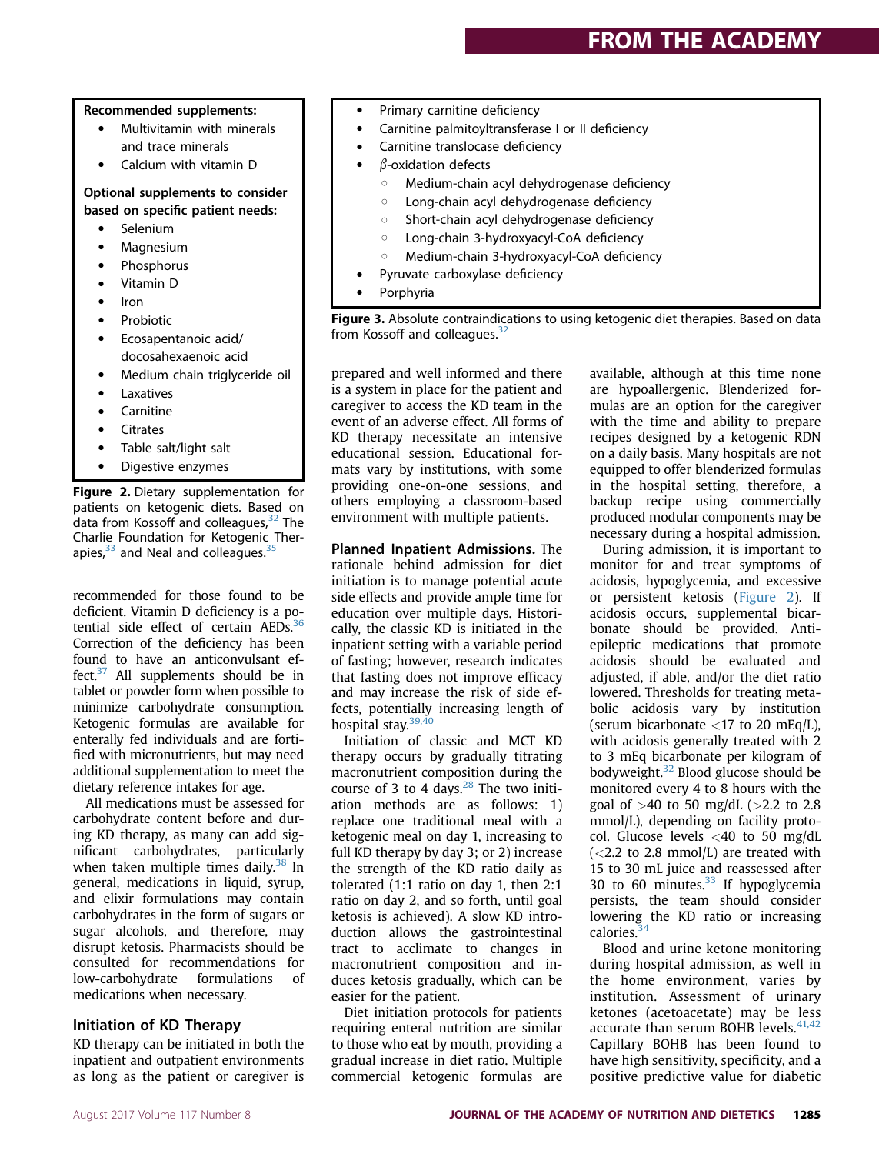#### <span id="page-6-0"></span>Recommended supplements:

- Multivitamin with minerals and trace minerals
- Calcium with vitamin D

#### Optional supplements to consider based on specific patient needs:

- Selenium
- Magnesium
- **Phosphorus**
- Vitamin D
- Iron
- Probiotic
- Ecosapentanoic acid/ docosahexaenoic acid
- Medium chain triglyceride oil
- Laxatives
- Carnitine
- Citrates
- Table salt/light salt
- Digestive enzymes

Figure 2. Dietary supplementation for patients on ketogenic diets. Based on data from Kossoff and colleagues,<sup>[32](#page-12-0)</sup> The Charlie Foundation for Ketogenic Therapies, $33$  and Neal and colleagues. $35$ 

recommended for those found to be deficient. Vitamin D deficiency is a potential side effect of certain AEDs.<sup>36</sup> Correction of the deficiency has been found to have an anticonvulsant effect[.37](#page-12-0) All supplements should be in tablet or powder form when possible to minimize carbohydrate consumption. Ketogenic formulas are available for enterally fed individuals and are fortified with micronutrients, but may need additional supplementation to meet the dietary reference intakes for age.

All medications must be assessed for carbohydrate content before and during KD therapy, as many can add significant carbohydrates, particularly when taken multiple times daily. $38$  In general, medications in liquid, syrup, and elixir formulations may contain carbohydrates in the form of sugars or sugar alcohols, and therefore, may disrupt ketosis. Pharmacists should be consulted for recommendations for low-carbohydrate formulations of medications when necessary.

### Initiation of KD Therapy

KD therapy can be initiated in both the inpatient and outpatient environments as long as the patient or caregiver is

- Primary carnitine deficiency
	- Carnitine palmitoyltransferase I or II deficiency
	- Carnitine translocase deficiency
	- $\beta$ -oxidation defects
		- <sup>B</sup> Medium-chain acyl dehydrogenase deficiency
		- o Long-chain acyl dehydrogenase deficiency
		- o Short-chain acyl dehydrogenase deficiency
		- o Long-chain 3-hydroxyacyl-CoA deficiency
		- o Medium-chain 3-hydroxyacyl-CoA deficiency
	- Pyruvate carboxylase deficiency
	- Porphyria

Figure 3. Absolute contraindications to using ketogenic diet therapies. Based on data from Kossoff and colleagues.<sup>[32](#page-12-0)</sup>

prepared and well informed and there is a system in place for the patient and caregiver to access the KD team in the event of an adverse effect. All forms of KD therapy necessitate an intensive educational session. Educational formats vary by institutions, with some providing one-on-one sessions, and others employing a classroom-based environment with multiple patients.

Planned Inpatient Admissions. The rationale behind admission for diet initiation is to manage potential acute side effects and provide ample time for education over multiple days. Historically, the classic KD is initiated in the inpatient setting with a variable period of fasting; however, research indicates that fasting does not improve efficacy and may increase the risk of side effects, potentially increasing length of hospital stay. $39,40$ 

Initiation of classic and MCT KD therapy occurs by gradually titrating macronutrient composition during the course of 3 to 4 days.<sup>[28](#page-12-0)</sup> The two initiation methods are as follows: 1) replace one traditional meal with a ketogenic meal on day 1, increasing to full KD therapy by day 3; or 2) increase the strength of the KD ratio daily as tolerated (1:1 ratio on day 1, then 2:1 ratio on day 2, and so forth, until goal ketosis is achieved). A slow KD introduction allows the gastrointestinal tract to acclimate to changes in macronutrient composition and induces ketosis gradually, which can be easier for the patient.

Diet initiation protocols for patients requiring enteral nutrition are similar to those who eat by mouth, providing a gradual increase in diet ratio. Multiple commercial ketogenic formulas are

available, although at this time none are hypoallergenic. Blenderized formulas are an option for the caregiver with the time and ability to prepare recipes designed by a ketogenic RDN on a daily basis. Many hospitals are not equipped to offer blenderized formulas in the hospital setting, therefore, a backup recipe using commercially produced modular components may be necessary during a hospital admission.

During admission, it is important to monitor for and treat symptoms of acidosis, hypoglycemia, and excessive or persistent ketosis (Figure 2). If acidosis occurs, supplemental bicarbonate should be provided. Antiepileptic medications that promote acidosis should be evaluated and adjusted, if able, and/or the diet ratio lowered. Thresholds for treating metabolic acidosis vary by institution (serum bicarbonate  $\langle 17 \rangle$  to 20 mEq/L), with acidosis generally treated with 2 to 3 mEq bicarbonate per kilogram of bodyweight. $32$  Blood glucose should be monitored every 4 to 8 hours with the goal of >40 to 50 mg/dL (>2.2 to 2.8 mmol/L), depending on facility protocol. Glucose levels <40 to 50 mg/dL  $\left($  <2.2 to 2.8 mmol/L) are treated with 15 to 30 mL juice and reassessed after 30 to 60 minutes.<sup>[33](#page-12-0)</sup> If hypoglycemia persists, the team should consider lowering the KD ratio or increasing calories.<sup>3</sup>

Blood and urine ketone monitoring during hospital admission, as well in the home environment, varies by institution. Assessment of urinary ketones (acetoacetate) may be less accurate than serum BOHB levels.<sup>[41,42](#page-12-0)</sup> Capillary BOHB has been found to have high sensitivity, specificity, and a positive predictive value for diabetic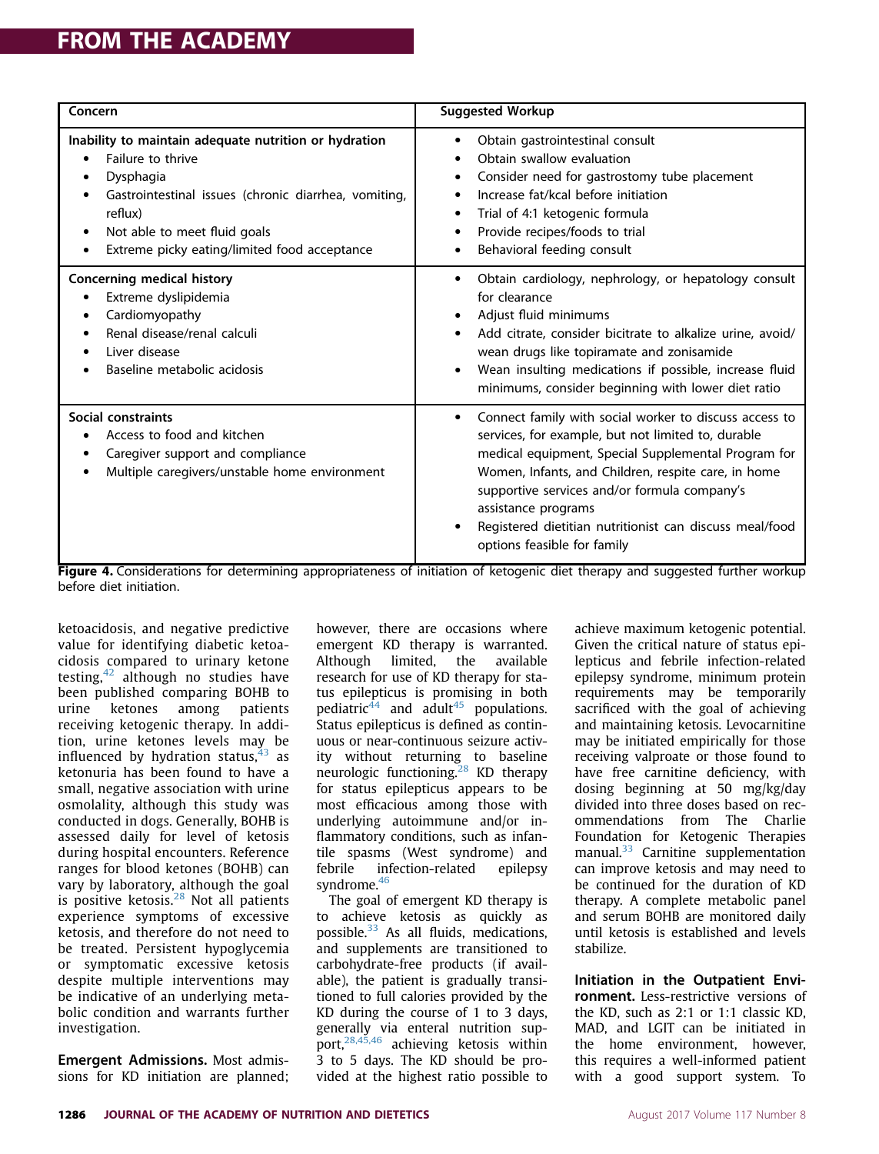<span id="page-7-0"></span>

| Concern                                                                                                                                                                                                                                                                        | <b>Suggested Workup</b>                                                                                                                                                                                                                                                                                                                                                                          |
|--------------------------------------------------------------------------------------------------------------------------------------------------------------------------------------------------------------------------------------------------------------------------------|--------------------------------------------------------------------------------------------------------------------------------------------------------------------------------------------------------------------------------------------------------------------------------------------------------------------------------------------------------------------------------------------------|
| Inability to maintain adequate nutrition or hydration<br>Failure to thrive<br>$\bullet$<br>Dysphagia<br>٠<br>Gastrointestinal issues (chronic diarrhea, vomiting,<br>$\bullet$<br>reflux)<br>Not able to meet fluid goals<br>٠<br>Extreme picky eating/limited food acceptance | Obtain gastrointestinal consult<br>٠<br>Obtain swallow evaluation<br>Consider need for gastrostomy tube placement<br>٠<br>Increase fat/kcal before initiation<br>$\bullet$<br>Trial of 4:1 ketogenic formula<br>٠<br>Provide recipes/foods to trial<br>٠<br>Behavioral feeding consult                                                                                                           |
| Concerning medical history<br>Extreme dyslipidemia<br>Cardiomyopathy<br>Renal disease/renal calculi<br>Liver disease<br>Baseline metabolic acidosis                                                                                                                            | Obtain cardiology, nephrology, or hepatology consult<br>for clearance<br>Adjust fluid minimums<br>٠<br>Add citrate, consider bicitrate to alkalize urine, avoid/<br>wean drugs like topiramate and zonisamide<br>Wean insulting medications if possible, increase fluid<br>minimums, consider beginning with lower diet ratio                                                                    |
| Social constraints<br>Access to food and kitchen<br>Caregiver support and compliance<br>Multiple caregivers/unstable home environment                                                                                                                                          | Connect family with social worker to discuss access to<br>٠<br>services, for example, but not limited to, durable<br>medical equipment, Special Supplemental Program for<br>Women, Infants, and Children, respite care, in home<br>supportive services and/or formula company's<br>assistance programs<br>Registered dietitian nutritionist can discuss meal/food<br>options feasible for family |

Figure 4. Considerations for determining appropriateness of initiation of ketogenic diet therapy and suggested further workup before diet initiation.

ketoacidosis, and negative predictive value for identifying diabetic ketoacidosis compared to urinary ketone testing, $42$  although no studies have been published comparing BOHB to urine ketones among patients receiving ketogenic therapy. In addition, urine ketones levels may be influenced by hydration status, $43$  as ketonuria has been found to have a small, negative association with urine osmolality, although this study was conducted in dogs. Generally, BOHB is assessed daily for level of ketosis during hospital encounters. Reference ranges for blood ketones (BOHB) can vary by laboratory, although the goal is positive ketosis.<sup>[28](#page-12-0)</sup> Not all patients experience symptoms of excessive ketosis, and therefore do not need to be treated. Persistent hypoglycemia or symptomatic excessive ketosis despite multiple interventions may be indicative of an underlying metabolic condition and warrants further investigation.

Emergent Admissions. Most admissions for KD initiation are planned; however, there are occasions where emergent KD therapy is warranted. Although limited, the available research for use of KD therapy for status epilepticus is promising in both pediatric<sup>[44](#page-12-0)</sup> and adult<sup>[45](#page-12-0)</sup> populations. Status epilepticus is defined as continuous or near-continuous seizure activity without returning to baseline neurologic functioning. $28$  KD therapy for status epilepticus appears to be most efficacious among those with underlying autoimmune and/or inflammatory conditions, such as infantile spasms (West syndrome) and febrile infection-related epilepsy syndrome.<sup>46</sup>

The goal of emergent KD therapy is to achieve ketosis as quickly as possible. $33$  As all fluids, medications, and supplements are transitioned to carbohydrate-free products (if available), the patient is gradually transitioned to full calories provided by the KD during the course of 1 to 3 days, generally via enteral nutrition support,[28,45,46](#page-12-0) achieving ketosis within 3 to 5 days. The KD should be provided at the highest ratio possible to achieve maximum ketogenic potential. Given the critical nature of status epilepticus and febrile infection-related epilepsy syndrome, minimum protein requirements may be temporarily sacrificed with the goal of achieving and maintaining ketosis. Levocarnitine may be initiated empirically for those receiving valproate or those found to have free carnitine deficiency, with dosing beginning at 50 mg/kg/day divided into three doses based on recommendations from The Charlie Foundation for Ketogenic Therapies manual.<sup>[33](#page-12-0)</sup> Carnitine supplementation can improve ketosis and may need to be continued for the duration of KD therapy. A complete metabolic panel and serum BOHB are monitored daily until ketosis is established and levels stabilize.

Initiation in the Outpatient Environment. Less-restrictive versions of the KD, such as 2:1 or 1:1 classic KD, MAD, and LGIT can be initiated in the home environment, however, this requires a well-informed patient with a good support system. To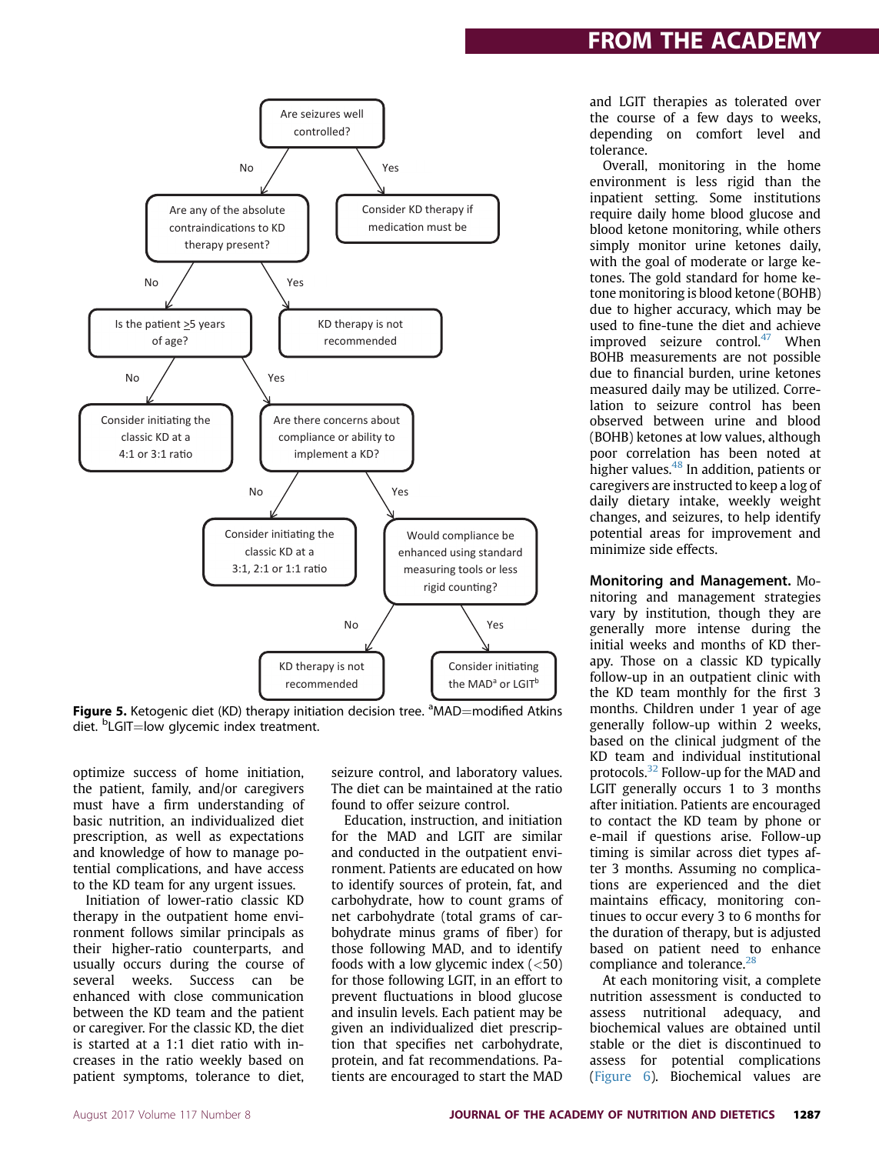<span id="page-8-0"></span>

**Figure 5.** Ketogenic diet (KD) therapy initiation decision tree. <sup>a</sup>MAD=modified Atkins<br>diet. <sup>b</sup>l GIT=low glycemic index treatment diet. <sup>b</sup>LGIT=low glycemic index treatment.

optimize success of home initiation, the patient, family, and/or caregivers must have a firm understanding of basic nutrition, an individualized diet prescription, as well as expectations and knowledge of how to manage potential complications, and have access to the KD team for any urgent issues.

Initiation of lower-ratio classic KD therapy in the outpatient home environment follows similar principals as their higher-ratio counterparts, and usually occurs during the course of several weeks. Success can be enhanced with close communication between the KD team and the patient or caregiver. For the classic KD, the diet is started at a 1:1 diet ratio with increases in the ratio weekly based on patient symptoms, tolerance to diet,

seizure control, and laboratory values. The diet can be maintained at the ratio found to offer seizure control.

Education, instruction, and initiation for the MAD and LGIT are similar and conducted in the outpatient environment. Patients are educated on how to identify sources of protein, fat, and carbohydrate, how to count grams of net carbohydrate (total grams of carbohydrate minus grams of fiber) for those following MAD, and to identify foods with a low glycemic index  $(<50)$ for those following LGIT, in an effort to prevent fluctuations in blood glucose and insulin levels. Each patient may be given an individualized diet prescription that specifies net carbohydrate, protein, and fat recommendations. Patients are encouraged to start the MAD

and LGIT therapies as tolerated over the course of a few days to weeks, depending on comfort level and tolerance.

Overall, monitoring in the home environment is less rigid than the inpatient setting. Some institutions require daily home blood glucose and blood ketone monitoring, while others simply monitor urine ketones daily, with the goal of moderate or large ketones. The gold standard for home ketone monitoring is blood ketone (BOHB) due to higher accuracy, which may be used to fine-tune the diet and achieve improved seizure control. $47$  When BOHB measurements are not possible due to financial burden, urine ketones measured daily may be utilized. Correlation to seizure control has been observed between urine and blood (BOHB) ketones at low values, although poor correlation has been noted at higher values[.48](#page-12-0) In addition, patients or caregivers are instructed to keep a log of daily dietary intake, weekly weight changes, and seizures, to help identify potential areas for improvement and minimize side effects.

Monitoring and Management. Monitoring and management strategies vary by institution, though they are generally more intense during the initial weeks and months of KD therapy. Those on a classic KD typically follow-up in an outpatient clinic with the KD team monthly for the first 3 months. Children under 1 year of age generally follow-up within 2 weeks, based on the clinical judgment of the KD team and individual institutional protocols.[32](#page-12-0) Follow-up for the MAD and LGIT generally occurs 1 to 3 months after initiation. Patients are encouraged to contact the KD team by phone or e-mail if questions arise. Follow-up timing is similar across diet types after 3 months. Assuming no complications are experienced and the diet maintains efficacy, monitoring continues to occur every 3 to 6 months for the duration of therapy, but is adjusted based on patient need to enhance compliance and tolerance. $28$ 

At each monitoring visit, a complete nutrition assessment is conducted to assess nutritional adequacy, and biochemical values are obtained until stable or the diet is discontinued to assess for potential complications ([Figure 6](#page-9-0)). Biochemical values are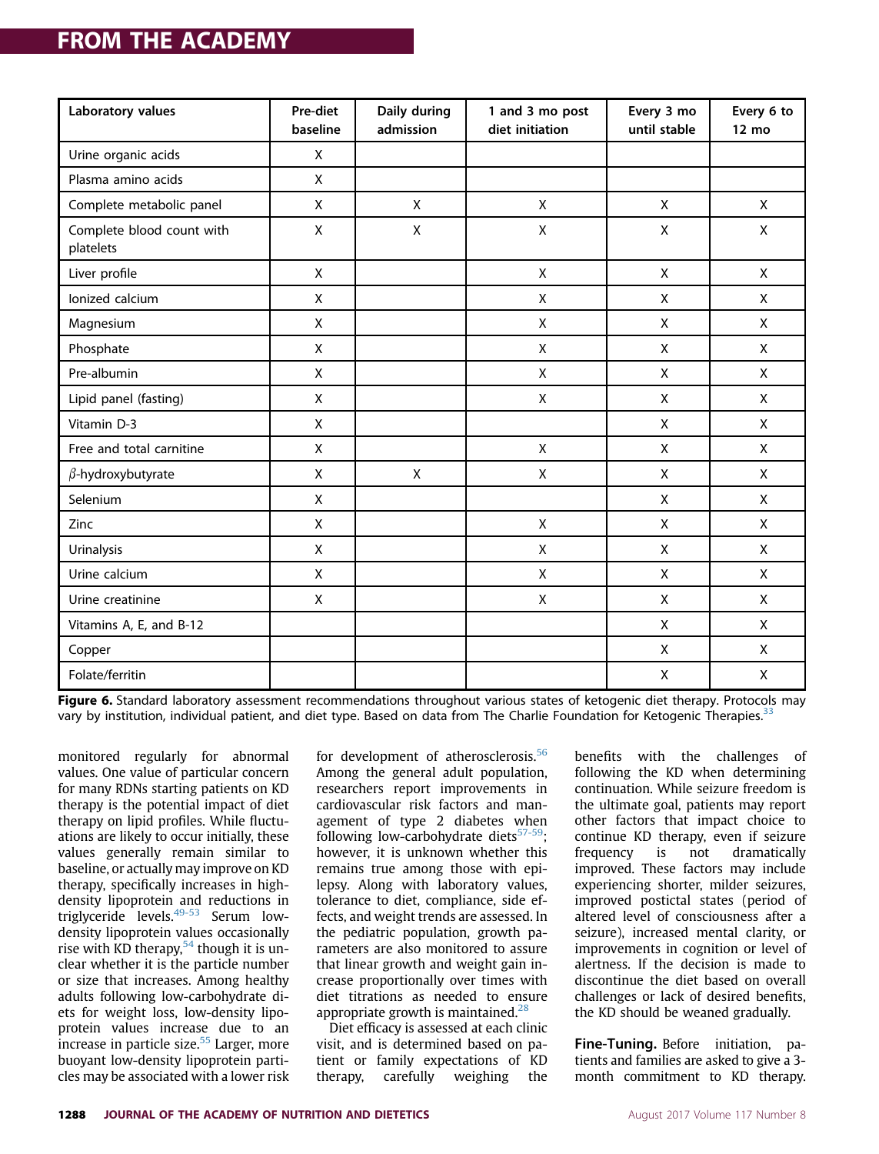<span id="page-9-0"></span>

| Laboratory values                      | Pre-diet<br>baseline | Daily during<br>admission | 1 and 3 mo post<br>diet initiation | Every 3 mo<br>until stable | Every 6 to<br>12 mo |
|----------------------------------------|----------------------|---------------------------|------------------------------------|----------------------------|---------------------|
| Urine organic acids                    | X                    |                           |                                    |                            |                     |
| Plasma amino acids                     | X                    |                           |                                    |                            |                     |
| Complete metabolic panel               | X                    | X                         | X                                  | $\mathsf{X}$               | X                   |
| Complete blood count with<br>platelets | X                    | X                         | X                                  | X                          | X                   |
| Liver profile                          | X                    |                           | $\pmb{\mathsf{X}}$                 | X                          | X                   |
| Ionized calcium                        | X                    |                           | X                                  | $\mathsf X$                | X                   |
| Magnesium                              | X                    |                           | X                                  | X                          | X                   |
| Phosphate                              | X                    |                           | X                                  | X                          | X                   |
| Pre-albumin                            | X                    |                           | X                                  | Χ                          | X                   |
| Lipid panel (fasting)                  | X                    |                           | X                                  | X                          | X                   |
| Vitamin D-3                            | X                    |                           |                                    | X                          | X                   |
| Free and total carnitine               | X                    |                           | X                                  | X                          | X                   |
| $\beta$ -hydroxybutyrate               | X                    | X                         | X                                  | X                          | X                   |
| Selenium                               | $\mathsf{X}$         |                           |                                    | $\mathsf{X}$               | X                   |
| Zinc                                   | $\mathsf X$          |                           | $\pmb{\mathsf{X}}$                 | X                          | X                   |
| Urinalysis                             | X                    |                           | X                                  | X                          | X                   |
| Urine calcium                          | X                    |                           | X                                  | X                          | X                   |
| Urine creatinine                       | X                    |                           | X                                  | X                          | X                   |
| Vitamins A, E, and B-12                |                      |                           |                                    | X                          | X                   |
| Copper                                 |                      |                           |                                    | Χ                          | $\mathsf X$         |
| Folate/ferritin                        |                      |                           |                                    | $\mathsf X$                | X                   |

Figure 6. Standard laboratory assessment recommendations throughout various states of ketogenic diet therapy. Protocols may vary by institution, individual patient, and diet type. Based on data from The Charlie Foundation for Ketogenic Therapies.<sup>3</sup>

monitored regularly for abnormal values. One value of particular concern for many RDNs starting patients on KD therapy is the potential impact of diet therapy on lipid profiles. While fluctuations are likely to occur initially, these values generally remain similar to baseline, or actually may improve on KD therapy, specifically increases in highdensity lipoprotein and reductions in triglyceride levels.[49-53](#page-12-0) Serum lowdensity lipoprotein values occasionally rise with KD therapy,  $54$  though it is unclear whether it is the particle number or size that increases. Among healthy adults following low-carbohydrate diets for weight loss, low-density lipoprotein values increase due to an increase in particle size.<sup>[55](#page-12-0)</sup> Larger, more buoyant low-density lipoprotein particles may be associated with a lower risk

for development of atherosclerosis.<sup>[56](#page-12-0)</sup> Among the general adult population, researchers report improvements in cardiovascular risk factors and management of type 2 diabetes when following low-carbohydrate diets $57-59$ ; however, it is unknown whether this remains true among those with epilepsy. Along with laboratory values, tolerance to diet, compliance, side effects, and weight trends are assessed. In the pediatric population, growth parameters are also monitored to assure that linear growth and weight gain increase proportionally over times with diet titrations as needed to ensure appropriate growth is maintained.<sup>[28](#page-12-0)</sup>

Diet efficacy is assessed at each clinic visit, and is determined based on patient or family expectations of KD therapy, carefully weighing the benefits with the challenges of following the KD when determining continuation. While seizure freedom is the ultimate goal, patients may report other factors that impact choice to continue KD therapy, even if seizure frequency is not dramatically improved. These factors may include experiencing shorter, milder seizures, improved postictal states (period of altered level of consciousness after a seizure), increased mental clarity, or improvements in cognition or level of alertness. If the decision is made to discontinue the diet based on overall challenges or lack of desired benefits, the KD should be weaned gradually.

Fine-Tuning. Before initiation, patients and families are asked to give a 3 month commitment to KD therapy.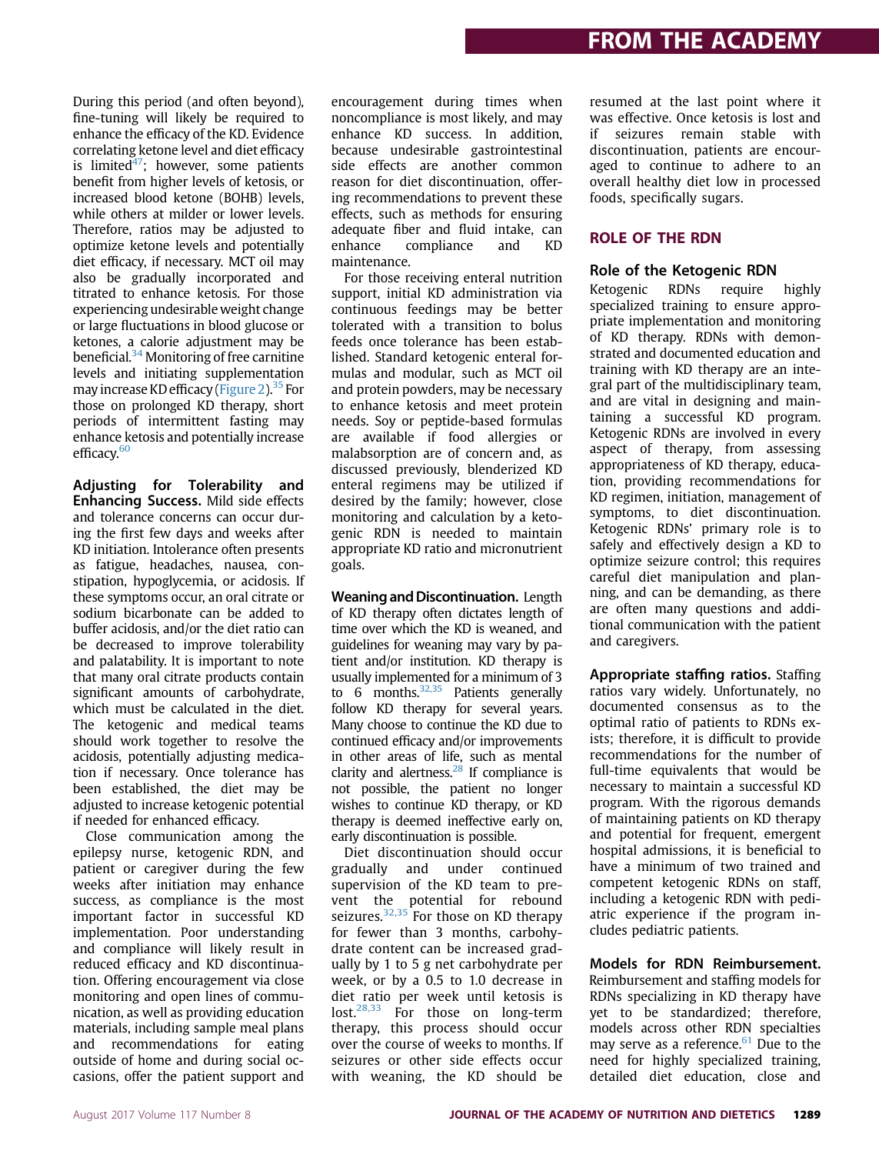During this period (and often beyond), fine-tuning will likely be required to enhance the efficacy of the KD. Evidence correlating ketone level and diet efficacy is limited<sup>47</sup>; however, some patients benefit from higher levels of ketosis, or increased blood ketone (BOHB) levels, while others at milder or lower levels. Therefore, ratios may be adjusted to optimize ketone levels and potentially diet efficacy, if necessary. MCT oil may also be gradually incorporated and titrated to enhance ketosis. For those experiencing undesirable weight change or large fluctuations in blood glucose or ketones, a calorie adjustment may be beneficial.<sup>34</sup> Monitoring of free carnitine levels and initiating supplementation may increase KD efficacy ([Figure 2\)](#page-6-0).<sup>[35](#page-12-0)</sup> For those on prolonged KD therapy, short periods of intermittent fasting may enhance ketosis and potentially increase efficacy.<sup>60</sup>

Adjusting for Tolerability and Enhancing Success. Mild side effects and tolerance concerns can occur during the first few days and weeks after KD initiation. Intolerance often presents as fatigue, headaches, nausea, constipation, hypoglycemia, or acidosis. If these symptoms occur, an oral citrate or sodium bicarbonate can be added to buffer acidosis, and/or the diet ratio can be decreased to improve tolerability and palatability. It is important to note that many oral citrate products contain significant amounts of carbohydrate, which must be calculated in the diet. The ketogenic and medical teams should work together to resolve the acidosis, potentially adjusting medication if necessary. Once tolerance has been established, the diet may be adjusted to increase ketogenic potential if needed for enhanced efficacy.

Close communication among the epilepsy nurse, ketogenic RDN, and patient or caregiver during the few weeks after initiation may enhance success, as compliance is the most important factor in successful KD implementation. Poor understanding and compliance will likely result in reduced efficacy and KD discontinuation. Offering encouragement via close monitoring and open lines of communication, as well as providing education materials, including sample meal plans and recommendations for eating outside of home and during social occasions, offer the patient support and

encouragement during times when noncompliance is most likely, and may enhance KD success. In addition, because undesirable gastrointestinal side effects are another common reason for diet discontinuation, offering recommendations to prevent these effects, such as methods for ensuring adequate fiber and fluid intake, can enhance compliance and KD maintenance.

For those receiving enteral nutrition support, initial KD administration via continuous feedings may be better tolerated with a transition to bolus feeds once tolerance has been established. Standard ketogenic enteral formulas and modular, such as MCT oil and protein powders, may be necessary to enhance ketosis and meet protein needs. Soy or peptide-based formulas are available if food allergies or malabsorption are of concern and, as discussed previously, blenderized KD enteral regimens may be utilized if desired by the family; however, close monitoring and calculation by a ketogenic RDN is needed to maintain appropriate KD ratio and micronutrient goals.

Weaning and Discontinuation. Length of KD therapy often dictates length of time over which the KD is weaned, and guidelines for weaning may vary by patient and/or institution. KD therapy is usually implemented for a minimum of 3 to 6 months. $32,35$  Patients generally follow KD therapy for several years. Many choose to continue the KD due to continued efficacy and/or improvements in other areas of life, such as mental clarity and alertness. $^{28}$  $^{28}$  $^{28}$  If compliance is not possible, the patient no longer wishes to continue KD therapy, or KD therapy is deemed ineffective early on, early discontinuation is possible.

Diet discontinuation should occur gradually and under continued supervision of the KD team to prevent the potential for rebound seizures.<sup>[32,35](#page-12-0)</sup> For those on KD therapy for fewer than 3 months, carbohydrate content can be increased gradually by 1 to 5 g net carbohydrate per week, or by a 0.5 to 1.0 decrease in diet ratio per week until ketosis is lost.<sup>[28,33](#page-12-0)</sup> For those on long-term therapy, this process should occur over the course of weeks to months. If seizures or other side effects occur with weaning, the KD should be

resumed at the last point where it was effective. Once ketosis is lost and if seizures remain stable with discontinuation, patients are encouraged to continue to adhere to an overall healthy diet low in processed foods, specifically sugars.

#### Role of the Ketogenic RDN

Ketogenic RDNs require highly specialized training to ensure appropriate implementation and monitoring of KD therapy. RDNs with demonstrated and documented education and training with KD therapy are an integral part of the multidisciplinary team, and are vital in designing and maintaining a successful KD program. Ketogenic RDNs are involved in every aspect of therapy, from assessing appropriateness of KD therapy, education, providing recommendations for KD regimen, initiation, management of symptoms, to diet discontinuation. Ketogenic RDNs' primary role is to safely and effectively design a KD to optimize seizure control; this requires careful diet manipulation and planning, and can be demanding, as there are often many questions and additional communication with the patient and caregivers.

Appropriate staffing ratios. Staffing ratios vary widely. Unfortunately, no documented consensus as to the optimal ratio of patients to RDNs exists; therefore, it is difficult to provide recommendations for the number of full-time equivalents that would be necessary to maintain a successful KD program. With the rigorous demands of maintaining patients on KD therapy and potential for frequent, emergent hospital admissions, it is beneficial to have a minimum of two trained and competent ketogenic RDNs on staff, including a ketogenic RDN with pediatric experience if the program includes pediatric patients.

Models for RDN Reimbursement. Reimbursement and staffing models for RDNs specializing in KD therapy have yet to be standardized; therefore, models across other RDN specialties may serve as a reference.<sup>[61](#page-13-0)</sup> Due to the need for highly specialized training, detailed diet education, close and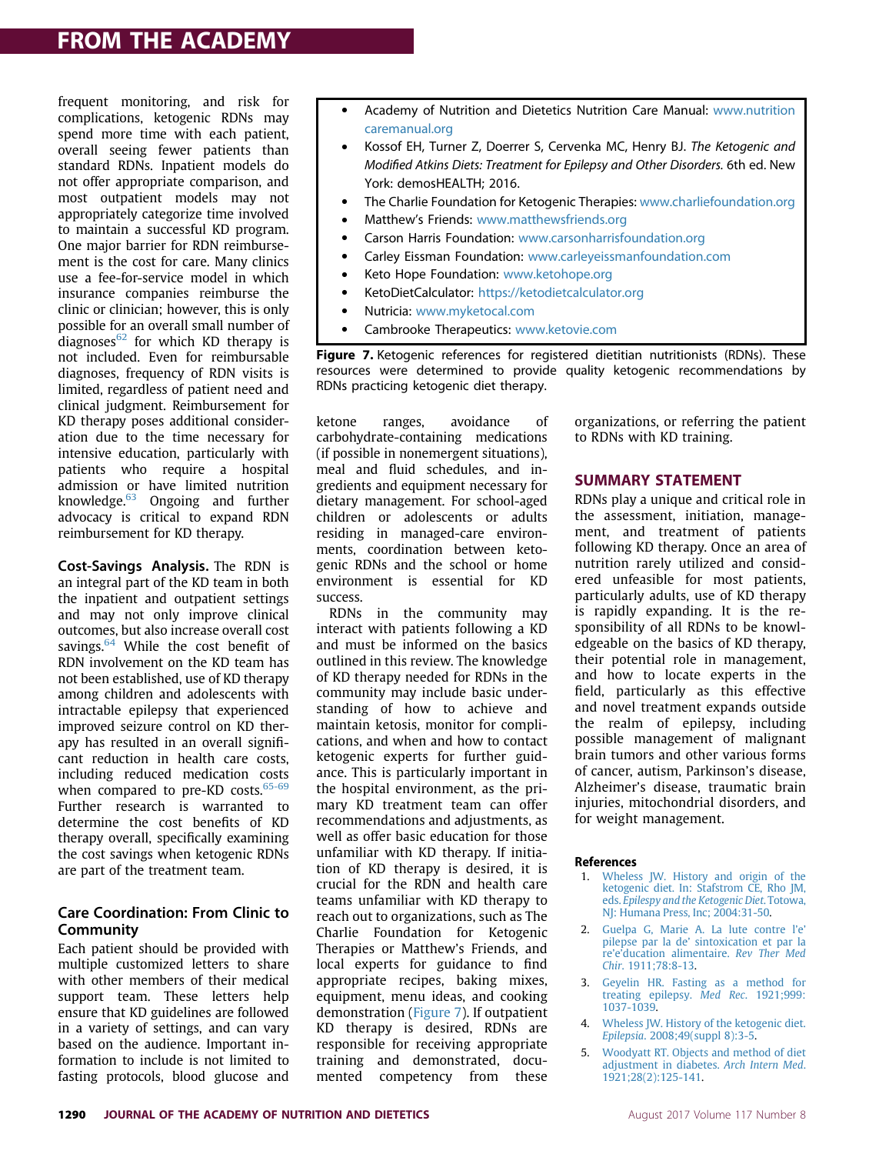<span id="page-11-0"></span>frequent monitoring, and risk for complications, ketogenic RDNs may spend more time with each patient, overall seeing fewer patients than standard RDNs. Inpatient models do not offer appropriate comparison, and most outpatient models may not appropriately categorize time involved to maintain a successful KD program. One major barrier for RDN reimbursement is the cost for care. Many clinics use a fee-for-service model in which insurance companies reimburse the clinic or clinician; however, this is only possible for an overall small number of diagnoses $62$  for which KD therapy is not included. Even for reimbursable diagnoses, frequency of RDN visits is limited, regardless of patient need and clinical judgment. Reimbursement for KD therapy poses additional consideration due to the time necessary for intensive education, particularly with patients who require a hospital admission or have limited nutrition knowledge.<sup>63</sup> Ongoing and further advocacy is critical to expand RDN reimbursement for KD therapy.

Cost-Savings Analysis. The RDN is an integral part of the KD team in both the inpatient and outpatient settings and may not only improve clinical outcomes, but also increase overall cost savings. $64$  While the cost benefit of RDN involvement on the KD team has not been established, use of KD therapy among children and adolescents with intractable epilepsy that experienced improved seizure control on KD therapy has resulted in an overall significant reduction in health care costs, including reduced medication costs when compared to pre-KD costs.<sup>[65-69](#page-13-0)</sup> Further research is warranted to determine the cost benefits of KD therapy overall, specifically examining the cost savings when ketogenic RDNs are part of the treatment team.

#### Care Coordination: From Clinic to Community

Each patient should be provided with multiple customized letters to share with other members of their medical support team. These letters help ensure that KD guidelines are followed in a variety of settings, and can vary based on the audience. Important information to include is not limited to fasting protocols, blood glucose and

- Academy of Nutrition and Dietetics Nutrition Care Manual: [www.nutrition](http://www.nutritioncaremanual.org) [caremanual.org](http://www.nutritioncaremanual.org)
- Kossof EH, Turner Z, Doerrer S, Cervenka MC, Henry BJ. The Ketogenic and Modified Atkins Diets: Treatment for Epilepsy and Other Disorders. 6th ed. New York: demosHEALTH; 2016.
- The Charlie Foundation for Ketogenic Therapies: [www.charliefoundation.org](http://www.charliefoundation.org)
- Matthew's Friends: [www.matthewsfriends.org](http://www.matthewsfriends.org)
- Carson Harris Foundation: [www.carsonharrisfoundation.org](http://www.carsonharrisfoundation.org)
- Carley Eissman Foundation: [www.carleyeissmanfoundation.com](http://www.carleyeissmanfoundation.com)
- Keto Hope Foundation: [www.ketohope.org](http://www.ketohope.org)
- KetoDietCalculator: <https://ketodietcalculator.org>
- Nutricia: [www.myketocal.com](http://www.myketocal.com)
- Cambrooke Therapeutics: [www.ketovie.com](http://www.ketovie.com)

Figure 7. Ketogenic references for registered dietitian nutritionists (RDNs). These resources were determined to provide quality ketogenic recommendations by RDNs practicing ketogenic diet therapy.

ketone ranges, avoidance of carbohydrate-containing medications (if possible in nonemergent situations), meal and fluid schedules, and ingredients and equipment necessary for dietary management. For school-aged children or adolescents or adults residing in managed-care environments, coordination between ketogenic RDNs and the school or home environment is essential for KD success.

RDNs in the community may interact with patients following a KD and must be informed on the basics outlined in this review. The knowledge of KD therapy needed for RDNs in the community may include basic understanding of how to achieve and maintain ketosis, monitor for complications, and when and how to contact ketogenic experts for further guidance. This is particularly important in the hospital environment, as the primary KD treatment team can offer recommendations and adjustments, as well as offer basic education for those unfamiliar with KD therapy. If initiation of KD therapy is desired, it is crucial for the RDN and health care teams unfamiliar with KD therapy to reach out to organizations, such as The Charlie Foundation for Ketogenic Therapies or Matthew's Friends, and local experts for guidance to find appropriate recipes, baking mixes, equipment, menu ideas, and cooking demonstration (Figure 7). If outpatient KD therapy is desired, RDNs are responsible for receiving appropriate training and demonstrated, documented competency from these organizations, or referring the patient to RDNs with KD training.

RDNs play a unique and critical role in the assessment, initiation, management, and treatment of patients following KD therapy. Once an area of nutrition rarely utilized and considered unfeasible for most patients, particularly adults, use of KD therapy is rapidly expanding. It is the responsibility of all RDNs to be knowledgeable on the basics of KD therapy, their potential role in management, and how to locate experts in the field, particularly as this effective and novel treatment expands outside the realm of epilepsy, including possible management of malignant brain tumors and other various forms of cancer, autism, Parkinson's disease, Alzheimer's disease, traumatic brain injuries, mitochondrial disorders, and for weight management.

#### **References**

- [Wheless JW. History and origin of the](http://refhub.elsevier.com/S2212-2672(17)30560-9/sref1) [ketogenic diet. In: Stafstrom CE, Rho JM,](http://refhub.elsevier.com/S2212-2672(17)30560-9/sref1) eds. [Epilespy and the Ketogenic Diet](http://refhub.elsevier.com/S2212-2672(17)30560-9/sref1). Totowa, [NJ: Humana Press, Inc; 2004:31-50](http://refhub.elsevier.com/S2212-2672(17)30560-9/sref1).
- 2. [Guelpa G, Marie A. La lute contre l](http://refhub.elsevier.com/S2212-2672(17)30560-9/sref2)'e' pilepse par la de' [sintoxication et par la](http://refhub.elsevier.com/S2212-2672(17)30560-9/sref2) re'e'[ducation alimentaire.](http://refhub.elsevier.com/S2212-2672(17)30560-9/sref2) Rev Ther Med Chir[. 1911;78:8-13](http://refhub.elsevier.com/S2212-2672(17)30560-9/sref2).
- 3. [Geyelin HR. Fasting as a method for](http://refhub.elsevier.com/S2212-2672(17)30560-9/sref3) [treating epilepsy.](http://refhub.elsevier.com/S2212-2672(17)30560-9/sref3) Med Rec. 1921;999: [1037-1039.](http://refhub.elsevier.com/S2212-2672(17)30560-9/sref3)
- 4. [Wheless JW. History of the ketogenic diet.](http://refhub.elsevier.com/S2212-2672(17)30560-9/sref4) Epilepsia[. 2008;49\(suppl 8\):3-5.](http://refhub.elsevier.com/S2212-2672(17)30560-9/sref4)
- 5. [Woodyatt RT. Objects and method of diet](http://refhub.elsevier.com/S2212-2672(17)30560-9/sref5) [adjustment in diabetes.](http://refhub.elsevier.com/S2212-2672(17)30560-9/sref5) Arch Intern Med. [1921;28\(2\):125-141.](http://refhub.elsevier.com/S2212-2672(17)30560-9/sref5)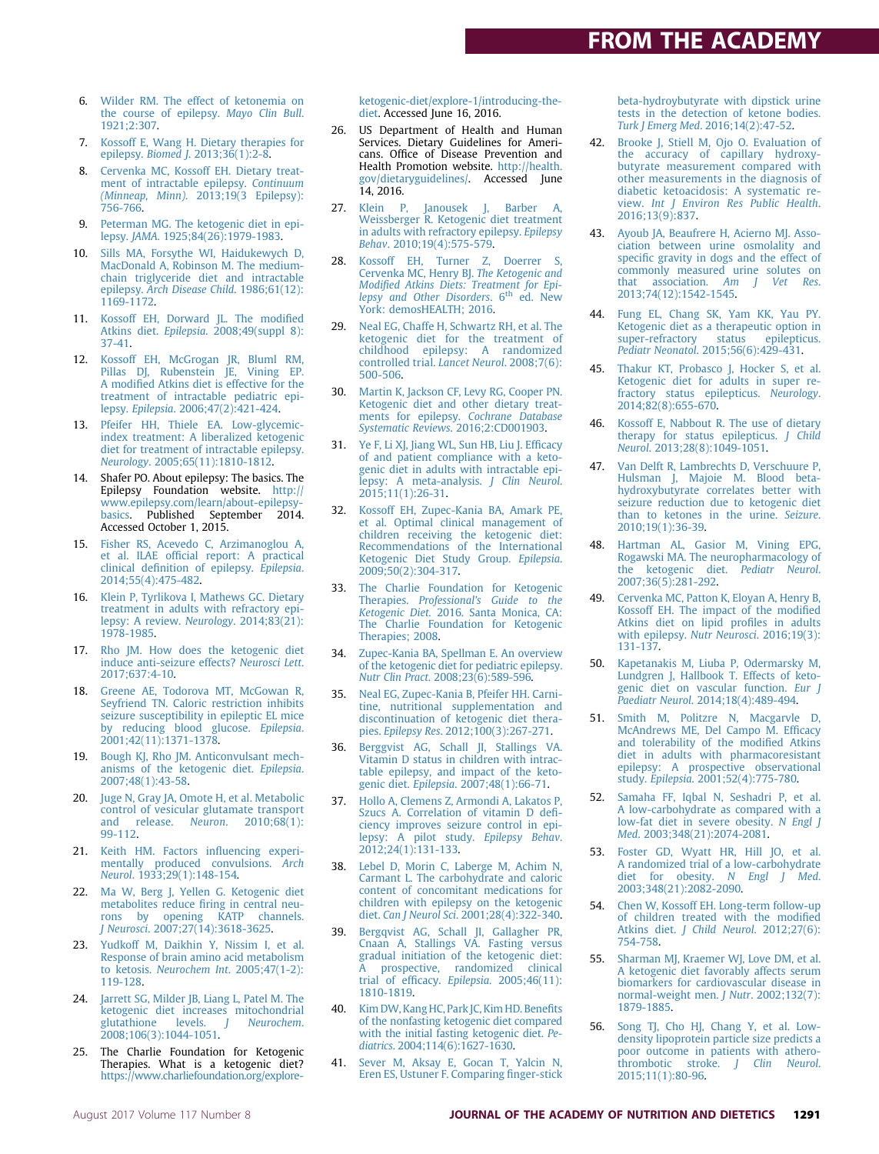- <span id="page-12-0"></span>6. [Wilder RM. The effect of ketonemia on](http://refhub.elsevier.com/S2212-2672(17)30560-9/sref6) [the course of epilepsy.](http://refhub.elsevier.com/S2212-2672(17)30560-9/sref6) Mayo Clin Bull. [1921;2:307.](http://refhub.elsevier.com/S2212-2672(17)30560-9/sref6)
- 7. [Kossoff E, Wang H. Dietary therapies for](http://refhub.elsevier.com/S2212-2672(17)30560-9/sref7) epilepsy. Biomed J[. 2013;36\(1\):2-8](http://refhub.elsevier.com/S2212-2672(17)30560-9/sref7).
- 8. [Cervenka MC, Kossoff EH. Dietary treat](http://refhub.elsevier.com/S2212-2672(17)30560-9/sref8)[ment of intractable epilepsy.](http://refhub.elsevier.com/S2212-2672(17)30560-9/sref8) Continuum (Minneap, Minn)[. 2013;19\(3 Epilepsy\):](http://refhub.elsevier.com/S2212-2672(17)30560-9/sref8) [756-766.](http://refhub.elsevier.com/S2212-2672(17)30560-9/sref8)
- 9. [Peterman MG. The ketogenic diet in epi](http://refhub.elsevier.com/S2212-2672(17)30560-9/sref9)lepsy. JAMA[. 1925;84\(26\):1979-1983.](http://refhub.elsevier.com/S2212-2672(17)30560-9/sref9)
- 10. [Sills MA, Forsythe WI, Haidukewych D,](http://refhub.elsevier.com/S2212-2672(17)30560-9/sref10) [MacDonald A, Robinson M. The medium](http://refhub.elsevier.com/S2212-2672(17)30560-9/sref10)[chain triglyceride diet and intractable](http://refhub.elsevier.com/S2212-2672(17)30560-9/sref10) epilepsy. [Arch Disease Child](http://refhub.elsevier.com/S2212-2672(17)30560-9/sref10). 1986;61(12): [1169-1172.](http://refhub.elsevier.com/S2212-2672(17)30560-9/sref10)
- 11. [Kossoff EH, Dorward JL. The modi](http://refhub.elsevier.com/S2212-2672(17)30560-9/sref11)fied Atkins diet. Epilepsia[. 2008;49\(suppl 8\):](http://refhub.elsevier.com/S2212-2672(17)30560-9/sref11) [37-41.](http://refhub.elsevier.com/S2212-2672(17)30560-9/sref11)
- 12. [Kossoff EH, McGrogan JR, Bluml RM,](http://refhub.elsevier.com/S2212-2672(17)30560-9/sref12) [Pillas DJ, Rubenstein JE, Vining EP.](http://refhub.elsevier.com/S2212-2672(17)30560-9/sref12) A modifi[ed Atkins diet is effective for the](http://refhub.elsevier.com/S2212-2672(17)30560-9/sref12) [treatment of intractable pediatric epi](http://refhub.elsevier.com/S2212-2672(17)30560-9/sref12)lepsy. Epilepsia[. 2006;47\(2\):421-424](http://refhub.elsevier.com/S2212-2672(17)30560-9/sref12).
- 13. [Pfeifer HH, Thiele EA. Low-glycemic](http://refhub.elsevier.com/S2212-2672(17)30560-9/sref13)[index treatment: A liberalized ketogenic](http://refhub.elsevier.com/S2212-2672(17)30560-9/sref13) [diet for treatment of intractable epilepsy.](http://refhub.elsevier.com/S2212-2672(17)30560-9/sref13) Neurology[. 2005;65\(11\):1810-1812](http://refhub.elsevier.com/S2212-2672(17)30560-9/sref13).
- 14. Shafer PO. About epilepsy: The basics. The Epilepsy Foundation website. [http://](http://www.epilepsy.com/learn/about-epilepsy-basics) [www.epilepsy.com/learn/about-epilepsy-](http://www.epilepsy.com/learn/about-epilepsy-basics)[basics.](http://www.epilepsy.com/learn/about-epilepsy-basics) Published September 2014. Accessed October 1, 2015.
- 15. [Fisher RS, Acevedo C, Arzimanoglou A,](http://refhub.elsevier.com/S2212-2672(17)30560-9/sref15) et al. ILAE offi[cial report: A practical](http://refhub.elsevier.com/S2212-2672(17)30560-9/sref15) clinical defi[nition of epilepsy.](http://refhub.elsevier.com/S2212-2672(17)30560-9/sref15) Epilepsia. [2014;55\(4\):475-482.](http://refhub.elsevier.com/S2212-2672(17)30560-9/sref15)
- 16. [Klein P, Tyrlikova I, Mathews GC. Dietary](http://refhub.elsevier.com/S2212-2672(17)30560-9/sref16) [treatment in adults with refractory epi](http://refhub.elsevier.com/S2212-2672(17)30560-9/sref16)[lepsy: A review.](http://refhub.elsevier.com/S2212-2672(17)30560-9/sref16) Neurology. 2014;83(21): [1978-1985.](http://refhub.elsevier.com/S2212-2672(17)30560-9/sref16)
- 17. [Rho JM. How does the ketogenic diet](http://refhub.elsevier.com/S2212-2672(17)30560-9/sref17) [induce anti-seizure effects?](http://refhub.elsevier.com/S2212-2672(17)30560-9/sref17) Neurosci Lett. [2017;637:4-10.](http://refhub.elsevier.com/S2212-2672(17)30560-9/sref17)
- 18. [Greene AE, Todorova MT, McGowan R,](http://refhub.elsevier.com/S2212-2672(17)30560-9/sref18) [Seyfriend TN. Caloric restriction inhibits](http://refhub.elsevier.com/S2212-2672(17)30560-9/sref18) [seizure susceptibility in epileptic EL mice](http://refhub.elsevier.com/S2212-2672(17)30560-9/sref18) [by reducing blood glucose.](http://refhub.elsevier.com/S2212-2672(17)30560-9/sref18) Epilepsia. [2001;42\(11\):1371-1378.](http://refhub.elsevier.com/S2212-2672(17)30560-9/sref18)
- 19. [Bough KJ, Rho JM. Anticonvulsant mech](http://refhub.elsevier.com/S2212-2672(17)30560-9/sref19)[anisms of the ketogenic diet.](http://refhub.elsevier.com/S2212-2672(17)30560-9/sref19) Epilepsia. [2007;48\(1\):43-58.](http://refhub.elsevier.com/S2212-2672(17)30560-9/sref19)
- 20. [Juge N, Gray JA, Omote H, et al. Metabolic](http://refhub.elsevier.com/S2212-2672(17)30560-9/sref20) [control of vesicular glutamate transport](http://refhub.elsevier.com/S2212-2672(17)30560-9/sref20) and release. Neuron[. 2010;68\(1\):](http://refhub.elsevier.com/S2212-2672(17)30560-9/sref20) [99-112](http://refhub.elsevier.com/S2212-2672(17)30560-9/sref20).
- 21. [Keith HM. Factors in](http://refhub.elsevier.com/S2212-2672(17)30560-9/sref21)fluencing experi[mentally produced convulsions.](http://refhub.elsevier.com/S2212-2672(17)30560-9/sref21) Arch Neurol[. 1933;29\(1\):148-154](http://refhub.elsevier.com/S2212-2672(17)30560-9/sref21).
- 22. [Ma W, Berg J, Yellen G. Ketogenic diet](http://refhub.elsevier.com/S2212-2672(17)30560-9/sref22) metabolites reduce fi[ring in central neu](http://refhub.elsevier.com/S2212-2672(17)30560-9/sref22)[rons by opening KATP channels.](http://refhub.elsevier.com/S2212-2672(17)30560-9/sref22) J Neurosci[. 2007;27\(14\):3618-3625.](http://refhub.elsevier.com/S2212-2672(17)30560-9/sref22)
- 23. [Yudkoff M, Daikhin Y, Nissim I, et al.](http://refhub.elsevier.com/S2212-2672(17)30560-9/sref23) [Response of brain amino acid metabolism](http://refhub.elsevier.com/S2212-2672(17)30560-9/sref23) to ketosis. Neurochem Int[. 2005;47\(1-2\):](http://refhub.elsevier.com/S2212-2672(17)30560-9/sref23) [119-128.](http://refhub.elsevier.com/S2212-2672(17)30560-9/sref23)
- 24. [Jarrett SG, Milder JB, Liang L, Patel M. The](http://refhub.elsevier.com/S2212-2672(17)30560-9/sref24) [ketogenic diet increases mitochondrial](http://refhub.elsevier.com/S2212-2672(17)30560-9/sref24)<br>glutathione levels. *J Neurochem*. [glutathione levels.](http://refhub.elsevier.com/S2212-2672(17)30560-9/sref24) J [2008;106\(3\):1044-1051.](http://refhub.elsevier.com/S2212-2672(17)30560-9/sref24)
- 25. The Charlie Foundation for Ketogenic Therapies. What is a ketogenic diet? [https://www.charliefoundation.org/explore-](https://www.charliefoundation.org/explore-ketogenic-diet/explore-1/introducing-the-diet)

[ketogenic-diet/explore-1/introducing-the](https://www.charliefoundation.org/explore-ketogenic-diet/explore-1/introducing-the-diet)[diet.](https://www.charliefoundation.org/explore-ketogenic-diet/explore-1/introducing-the-diet) Accessed June 16, 2016.

- 26. US Department of Health and Human Services. Dietary Guidelines for Americans. Office of Disease Prevention and Health Promotion website. [http://health.](http://health.gov/dietaryguidelines/) [gov/dietaryguidelines/.](http://health.gov/dietaryguidelines/) Accessed June 14, 2016.
- 27. [Klein P, Janousek J, Barber A,](http://refhub.elsevier.com/S2212-2672(17)30560-9/sref27) [Weissberger R. Ketogenic diet treatment](http://refhub.elsevier.com/S2212-2672(17)30560-9/sref27) [in adults with refractory epilepsy.](http://refhub.elsevier.com/S2212-2672(17)30560-9/sref27) Epilepsy Behav[. 2010;19\(4\):575-579.](http://refhub.elsevier.com/S2212-2672(17)30560-9/sref27)
- 28. [Kossoff EH, Turner Z, Doerrer S,](http://refhub.elsevier.com/S2212-2672(17)30560-9/sref28) [Cervenka MC, Henry BJ.](http://refhub.elsevier.com/S2212-2672(17)30560-9/sref28) The Ketogenic and Modifi[ed Atkins Diets: Treatment for Epi](http://refhub.elsevier.com/S2212-2672(17)30560-9/sref28)[lepsy](http://refhub.elsevier.com/S2212-2672(17)30560-9/sref28) [and](http://refhub.elsevier.com/S2212-2672(17)30560-9/sref28) [Other](http://refhub.elsevier.com/S2212-2672(17)30560-9/sref28) [Disorders](http://refhub.elsevier.com/S2212-2672(17)30560-9/sref28). 6<sup>th</sup> [ed. New](http://refhub.elsevier.com/S2212-2672(17)30560-9/sref28) [York: demosHEALTH; 2016.](http://refhub.elsevier.com/S2212-2672(17)30560-9/sref28)
- 29. [Neal EG, Chaffe H, Schwartz RH, et al. The](http://refhub.elsevier.com/S2212-2672(17)30560-9/sref29) [ketogenic diet for the treatment of](http://refhub.elsevier.com/S2212-2672(17)30560-9/sref29) [childhood epilepsy: A randomized](http://refhub.elsevier.com/S2212-2672(17)30560-9/sref29) [controlled trial.](http://refhub.elsevier.com/S2212-2672(17)30560-9/sref29) Lancet Neurol. 2008;7(6): [500-506.](http://refhub.elsevier.com/S2212-2672(17)30560-9/sref29)
- 30. [Martin K, Jackson CF, Levy RG, Cooper PN.](http://refhub.elsevier.com/S2212-2672(17)30560-9/sref30) [Ketogenic diet and other dietary treat](http://refhub.elsevier.com/S2212-2672(17)30560-9/sref30)[ments for epilepsy.](http://refhub.elsevier.com/S2212-2672(17)30560-9/sref30) Cochrane Database Systematic Reviews[. 2016;2:CD001903](http://refhub.elsevier.com/S2212-2672(17)30560-9/sref30).
- 31. [Ye F, Li XJ, Jiang WL, Sun HB, Liu J. Ef](http://refhub.elsevier.com/S2212-2672(17)30560-9/sref31)ficacy [of and patient compliance with a keto](http://refhub.elsevier.com/S2212-2672(17)30560-9/sref31)[genic diet in adults with intractable epi](http://refhub.elsevier.com/S2212-2672(17)30560-9/sref31)[lepsy: A meta-analysis.](http://refhub.elsevier.com/S2212-2672(17)30560-9/sref31) J Clin Neurol. [2015;11\(1\):26-31](http://refhub.elsevier.com/S2212-2672(17)30560-9/sref31).
- 32. [Kossoff EH, Zupec-Kania BA, Amark PE,](http://refhub.elsevier.com/S2212-2672(17)30560-9/sref32) [et al. Optimal clinical management of](http://refhub.elsevier.com/S2212-2672(17)30560-9/sref32) [children receiving the ketogenic diet:](http://refhub.elsevier.com/S2212-2672(17)30560-9/sref32) [Recommendations of the International](http://refhub.elsevier.com/S2212-2672(17)30560-9/sref32) [Ketogenic Diet Study Group.](http://refhub.elsevier.com/S2212-2672(17)30560-9/sref32) Epilepsia. [2009;50\(2\):304-317](http://refhub.elsevier.com/S2212-2672(17)30560-9/sref32).
- 33. [The Charlie Foundation for Ketogenic](http://refhub.elsevier.com/S2212-2672(17)30560-9/sref33) Therapies. Professional'[s Guide to the](http://refhub.elsevier.com/S2212-2672(17)30560-9/sref33) Ketogenic Diet. [2016. Santa Monica, CA:](http://refhub.elsevier.com/S2212-2672(17)30560-9/sref33) [The Charlie Foundation for Ketogenic](http://refhub.elsevier.com/S2212-2672(17)30560-9/sref33) [Therapies; 2008](http://refhub.elsevier.com/S2212-2672(17)30560-9/sref33).
- 34. [Zupec-Kania BA, Spellman E. An overview](http://refhub.elsevier.com/S2212-2672(17)30560-9/sref34) [of the ketogenic diet for pediatric epilepsy.](http://refhub.elsevier.com/S2212-2672(17)30560-9/sref34) Nutr Clin Pract[. 2008;23\(6\):589-596.](http://refhub.elsevier.com/S2212-2672(17)30560-9/sref34)
- 35. [Neal EG, Zupec-Kania B, Pfeifer HH. Carni](http://refhub.elsevier.com/S2212-2672(17)30560-9/sref35)[tine, nutritional supplementation and](http://refhub.elsevier.com/S2212-2672(17)30560-9/sref35) [discontinuation of ketogenic diet thera](http://refhub.elsevier.com/S2212-2672(17)30560-9/sref35)pies. Epilepsy Res[. 2012;100\(3\):267-271.](http://refhub.elsevier.com/S2212-2672(17)30560-9/sref35)
- 36. [Berggvist AG, Schall JI, Stallings VA.](http://refhub.elsevier.com/S2212-2672(17)30560-9/sref36) [Vitamin D status in children with intrac](http://refhub.elsevier.com/S2212-2672(17)30560-9/sref36)[table epilepsy, and impact of the keto](http://refhub.elsevier.com/S2212-2672(17)30560-9/sref36)genic diet. Epilepsia[. 2007;48\(1\):66-71.](http://refhub.elsevier.com/S2212-2672(17)30560-9/sref36)
- 37. [Hollo A, Clemens Z, Armondi A, Lakatos P,](http://refhub.elsevier.com/S2212-2672(17)30560-9/sref37) [Szucs A. Correlation of vitamin D de](http://refhub.elsevier.com/S2212-2672(17)30560-9/sref37)fi[ciency improves seizure control in epi](http://refhub.elsevier.com/S2212-2672(17)30560-9/sref37)[lepsy: A pilot study.](http://refhub.elsevier.com/S2212-2672(17)30560-9/sref37) Epilepsy Behav. [2012;24\(1\):131-133](http://refhub.elsevier.com/S2212-2672(17)30560-9/sref37).
- 38. [Lebel D, Morin C, Laberge M, Achim N,](http://refhub.elsevier.com/S2212-2672(17)30560-9/sref38) [Carmant L. The carbohydrate and caloric](http://refhub.elsevier.com/S2212-2672(17)30560-9/sref38) [content of concomitant medications for](http://refhub.elsevier.com/S2212-2672(17)30560-9/sref38) [children with epilepsy on the ketogenic](http://refhub.elsevier.com/S2212-2672(17)30560-9/sref38) diet. Can J Neurol Sci[. 2001;28\(4\):322-340](http://refhub.elsevier.com/S2212-2672(17)30560-9/sref38).
- 39. [Bergqvist AG, Schall JI, Gallagher PR,](http://refhub.elsevier.com/S2212-2672(17)30560-9/sref39) [Cnaan A, Stallings VA. Fasting versus](http://refhub.elsevier.com/S2212-2672(17)30560-9/sref39) [gradual initiation of the ketogenic diet:](http://refhub.elsevier.com/S2212-2672(17)30560-9/sref39) [A prospective, randomized clinical](http://refhub.elsevier.com/S2212-2672(17)30560-9/sref39) trial of efficacy. Epilepsia[. 2005;46\(11\):](http://refhub.elsevier.com/S2212-2672(17)30560-9/sref39) [1810-1819](http://refhub.elsevier.com/S2212-2672(17)30560-9/sref39).
- 40. [Kim DW, Kang HC, Park JC, Kim HD. Bene](http://refhub.elsevier.com/S2212-2672(17)30560-9/sref40)fits [of the nonfasting ketogenic diet compared](http://refhub.elsevier.com/S2212-2672(17)30560-9/sref40) [with the initial fasting ketogenic diet.](http://refhub.elsevier.com/S2212-2672(17)30560-9/sref40) Pediatrics[. 2004;114\(6\):1627-1630](http://refhub.elsevier.com/S2212-2672(17)30560-9/sref40).
- 41. [Sever M, Aksay E, Gocan T, Yalcin N,](http://refhub.elsevier.com/S2212-2672(17)30560-9/sref41) [Eren ES, Ustuner F. Comparing](http://refhub.elsevier.com/S2212-2672(17)30560-9/sref41) finger-stick

[beta-hydroybutyrate with dipstick urine](http://refhub.elsevier.com/S2212-2672(17)30560-9/sref41) [tests in the detection of ketone bodies.](http://refhub.elsevier.com/S2212-2672(17)30560-9/sref41) Turk J Emerg Med[. 2016;14\(2\):47-52](http://refhub.elsevier.com/S2212-2672(17)30560-9/sref41).

- 42. [Brooke J, Stiell M, Ojo O. Evaluation of](http://refhub.elsevier.com/S2212-2672(17)30560-9/sref42) [the accuracy of capillary hydroxy](http://refhub.elsevier.com/S2212-2672(17)30560-9/sref42)[butyrate measurement compared with](http://refhub.elsevier.com/S2212-2672(17)30560-9/sref42) [other measurements in the diagnosis of](http://refhub.elsevier.com/S2212-2672(17)30560-9/sref42) [diabetic ketoacidosis: A systematic re](http://refhub.elsevier.com/S2212-2672(17)30560-9/sref42)view. [Int J Environ Res Public Health](http://refhub.elsevier.com/S2212-2672(17)30560-9/sref42). [2016;13\(9\):837](http://refhub.elsevier.com/S2212-2672(17)30560-9/sref42).
- 43. [Ayoub JA, Beaufrere H, Acierno MJ. Asso](http://refhub.elsevier.com/S2212-2672(17)30560-9/sref43)[ciation between urine osmolality and](http://refhub.elsevier.com/S2212-2672(17)30560-9/sref43) specifi[c gravity in dogs and the effect of](http://refhub.elsevier.com/S2212-2672(17)30560-9/sref43) [commonly measured urine solutes on](http://refhub.elsevier.com/S2212-2672(17)30560-9/sref43) that association. [Am J Vet Res](http://refhub.elsevier.com/S2212-2672(17)30560-9/sref43). [2013;74\(12\):1542-1545](http://refhub.elsevier.com/S2212-2672(17)30560-9/sref43).
- 44. [Fung EL, Chang SK, Yam KK, Yau PY.](http://refhub.elsevier.com/S2212-2672(17)30560-9/sref44) [Ketogenic diet as a therapeutic option in](http://refhub.elsevier.com/S2212-2672(17)30560-9/sref44)<br>super-refractory status epilepticus. status epilepticus. Pediatr Neonatol[. 2015;56\(6\):429-431](http://refhub.elsevier.com/S2212-2672(17)30560-9/sref44).
- 45. [Thakur KT, Probasco J, Hocker S, et al.](http://refhub.elsevier.com/S2212-2672(17)30560-9/sref45) [Ketogenic diet for adults in super re](http://refhub.elsevier.com/S2212-2672(17)30560-9/sref45)[fractory status epilepticus.](http://refhub.elsevier.com/S2212-2672(17)30560-9/sref45) Neurology. [2014;82\(8\):655-670](http://refhub.elsevier.com/S2212-2672(17)30560-9/sref45).
- 46. [Kossoff E, Nabbout R. The use of dietary](http://refhub.elsevier.com/S2212-2672(17)30560-9/sref46) [therapy for status epilepticus.](http://refhub.elsevier.com/S2212-2672(17)30560-9/sref46) J Child Neurol[. 2013;28\(8\):1049-1051.](http://refhub.elsevier.com/S2212-2672(17)30560-9/sref46)
- 47. [Van Delft R, Lambrechts D, Verschuure P,](http://refhub.elsevier.com/S2212-2672(17)30560-9/sref47) [Hulsman J, Majoie M. Blood beta](http://refhub.elsevier.com/S2212-2672(17)30560-9/sref47)[hydroxybutyrate correlates better with](http://refhub.elsevier.com/S2212-2672(17)30560-9/sref47) [seizure reduction due to ketogenic diet](http://refhub.elsevier.com/S2212-2672(17)30560-9/sref47) [than to ketones in the urine.](http://refhub.elsevier.com/S2212-2672(17)30560-9/sref47) Seizure. [2010;19\(1\):36-39](http://refhub.elsevier.com/S2212-2672(17)30560-9/sref47).
- 48. [Hartman AL, Gasior M, Vining EPG,](http://refhub.elsevier.com/S2212-2672(17)30560-9/sref48) [Rogawski MA. The neuropharmacology of](http://refhub.elsevier.com/S2212-2672(17)30560-9/sref48) [the ketogenic diet.](http://refhub.elsevier.com/S2212-2672(17)30560-9/sref48) Pediatr Neurol. [2007;36\(5\):281-292](http://refhub.elsevier.com/S2212-2672(17)30560-9/sref48).
- 49. [Cervenka MC, Patton K, Eloyan A, Henry B,](http://refhub.elsevier.com/S2212-2672(17)30560-9/sref49) [Kossoff EH. The impact of the modi](http://refhub.elsevier.com/S2212-2672(17)30560-9/sref49)fied [Atkins diet on lipid pro](http://refhub.elsevier.com/S2212-2672(17)30560-9/sref49)files in adults [with epilepsy.](http://refhub.elsevier.com/S2212-2672(17)30560-9/sref49) Nutr Neurosci. 2016;19(3): [131-137.](http://refhub.elsevier.com/S2212-2672(17)30560-9/sref49)
- 50. [Kapetanakis M, Liuba P, Odermarsky M,](http://refhub.elsevier.com/S2212-2672(17)30560-9/sref50) [Lundgren J, Hallbook T. Effects of keto](http://refhub.elsevier.com/S2212-2672(17)30560-9/sref50)[genic diet on vascular function.](http://refhub.elsevier.com/S2212-2672(17)30560-9/sref50) Eur J Paediatr Neurol[. 2014;18\(4\):489-494.](http://refhub.elsevier.com/S2212-2672(17)30560-9/sref50)
- [Smith M, Politzre N, Macgarvle D,](http://refhub.elsevier.com/S2212-2672(17)30560-9/sref51) [McAndrews ME, Del Campo M. Ef](http://refhub.elsevier.com/S2212-2672(17)30560-9/sref51)ficacy [and tolerability of the modi](http://refhub.elsevier.com/S2212-2672(17)30560-9/sref51)fied Atkins [diet in adults with pharmacoresistant](http://refhub.elsevier.com/S2212-2672(17)30560-9/sref51) [epilepsy: A prospective observational](http://refhub.elsevier.com/S2212-2672(17)30560-9/sref51) study. Epilepsia[. 2001;52\(4\):775-780](http://refhub.elsevier.com/S2212-2672(17)30560-9/sref51).
- 52. [Samaha FF, Iqbal N, Seshadri P, et al.](http://refhub.elsevier.com/S2212-2672(17)30560-9/sref52) [A low-carbohydrate as compared with a](http://refhub.elsevier.com/S2212-2672(17)30560-9/sref52) [low-fat diet in severe obesity.](http://refhub.elsevier.com/S2212-2672(17)30560-9/sref52) N Engl J Med[. 2003;348\(21\):2074-2081.](http://refhub.elsevier.com/S2212-2672(17)30560-9/sref52)
- 53. [Foster GD, Wyatt HR, Hill JO, et al.](http://refhub.elsevier.com/S2212-2672(17)30560-9/sref53) [A randomized trial of a low-carbohydrate](http://refhub.elsevier.com/S2212-2672(17)30560-9/sref53) [diet for obesity.](http://refhub.elsevier.com/S2212-2672(17)30560-9/sref53) N Engl J Med. [2003;348\(21\):2082-2090](http://refhub.elsevier.com/S2212-2672(17)30560-9/sref53).
- 54. [Chen W, Kossoff EH. Long-term follow-up](http://refhub.elsevier.com/S2212-2672(17)30560-9/sref54) [of children treated with the modi](http://refhub.elsevier.com/S2212-2672(17)30560-9/sref54)fied Atkins diet. [J Child Neurol](http://refhub.elsevier.com/S2212-2672(17)30560-9/sref54). 2012;27(6): [754-758.](http://refhub.elsevier.com/S2212-2672(17)30560-9/sref54)
- 55. [Sharman MJ, Kraemer WJ, Love DM, et al.](http://refhub.elsevier.com/S2212-2672(17)30560-9/sref55) [A ketogenic diet favorably affects serum](http://refhub.elsevier.com/S2212-2672(17)30560-9/sref55) [biomarkers for cardiovascular disease in](http://refhub.elsevier.com/S2212-2672(17)30560-9/sref55) [normal-weight men.](http://refhub.elsevier.com/S2212-2672(17)30560-9/sref55) J Nutr. 2002;132(7): [1879-1885.](http://refhub.elsevier.com/S2212-2672(17)30560-9/sref55)
- 56. [Song TJ, Cho HJ, Chang Y, et al. Low](http://refhub.elsevier.com/S2212-2672(17)30560-9/sref56)[density lipoprotein particle size predicts a](http://refhub.elsevier.com/S2212-2672(17)30560-9/sref56) [poor outcome in patients with athero](http://refhub.elsevier.com/S2212-2672(17)30560-9/sref56)[thrombotic stroke.](http://refhub.elsevier.com/S2212-2672(17)30560-9/sref56) J Clin Neurol. [2015;11\(1\):80-96](http://refhub.elsevier.com/S2212-2672(17)30560-9/sref56).